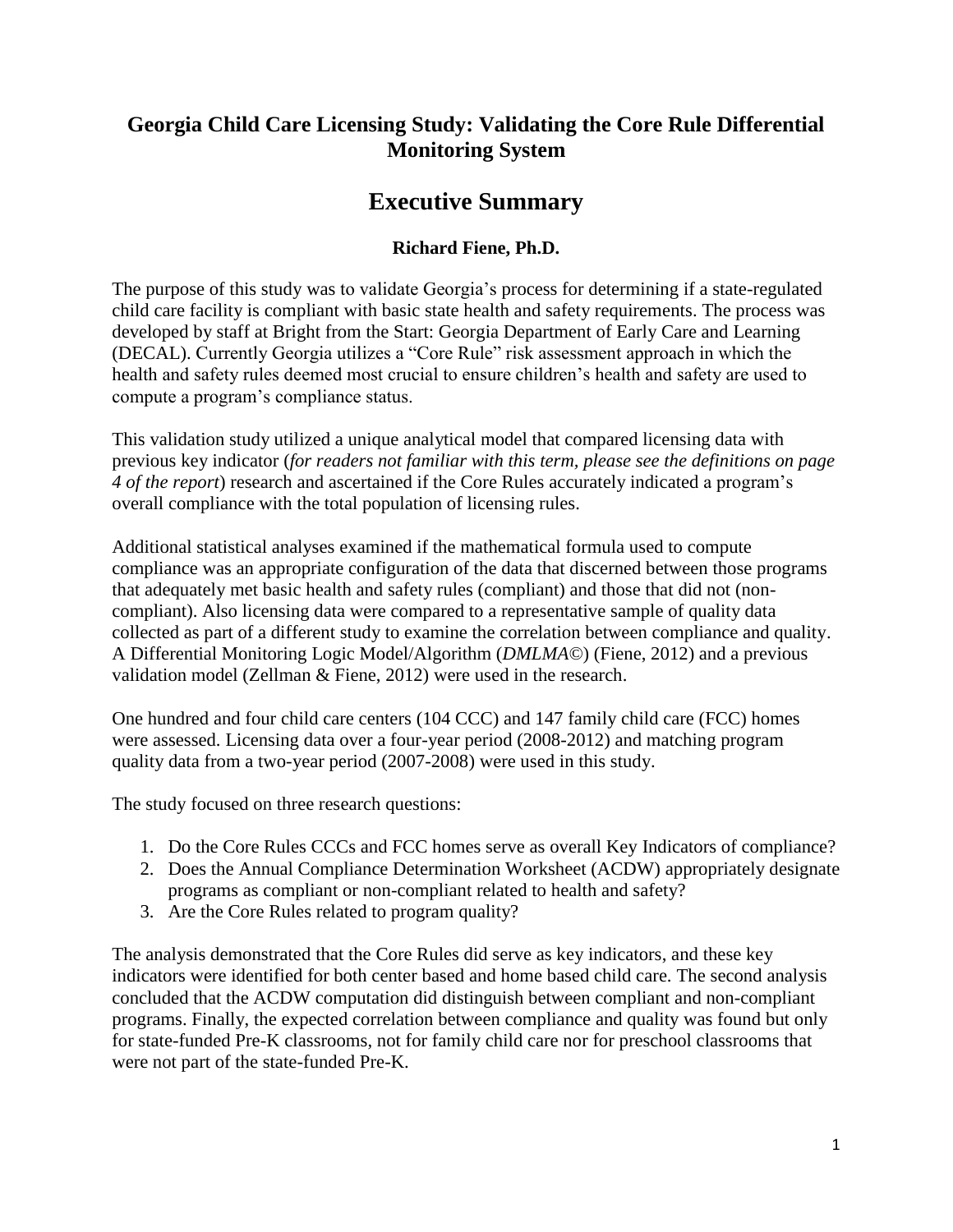# **Georgia Child Care Licensing Study: Validating the Core Rule Differential Monitoring System**

# **Executive Summary**

# **Richard Fiene, Ph.D.**

The purpose of this study was to validate Georgia's process for determining if a state-regulated child care facility is compliant with basic state health and safety requirements. The process was developed by staff at Bright from the Start: Georgia Department of Early Care and Learning (DECAL). Currently Georgia utilizes a "Core Rule" risk assessment approach in which the health and safety rules deemed most crucial to ensure children's health and safety are used to compute a program's compliance status.

This validation study utilized a unique analytical model that compared licensing data with previous key indicator (*for readers not familiar with this term, please see the definitions on page 4 of the report*) research and ascertained if the Core Rules accurately indicated a program's overall compliance with the total population of licensing rules.

Additional statistical analyses examined if the mathematical formula used to compute compliance was an appropriate configuration of the data that discerned between those programs that adequately met basic health and safety rules (compliant) and those that did not (noncompliant). Also licensing data were compared to a representative sample of quality data collected as part of a different study to examine the correlation between compliance and quality. A Differential Monitoring Logic Model/Algorithm (*DMLMA©*) (Fiene, 2012) and a previous validation model (Zellman & Fiene, 2012) were used in the research.

One hundred and four child care centers (104 CCC) and 147 family child care (FCC) homes were assessed. Licensing data over a four-year period (2008-2012) and matching program quality data from a two-year period (2007-2008) were used in this study.

The study focused on three research questions:

- 1. Do the Core Rules CCCs and FCC homes serve as overall Key Indicators of compliance?
- 2. Does the Annual Compliance Determination Worksheet (ACDW) appropriately designate programs as compliant or non-compliant related to health and safety?
- 3. Are the Core Rules related to program quality?

The analysis demonstrated that the Core Rules did serve as key indicators, and these key indicators were identified for both center based and home based child care. The second analysis concluded that the ACDW computation did distinguish between compliant and non-compliant programs. Finally, the expected correlation between compliance and quality was found but only for state-funded Pre-K classrooms, not for family child care nor for preschool classrooms that were not part of the state-funded Pre-K.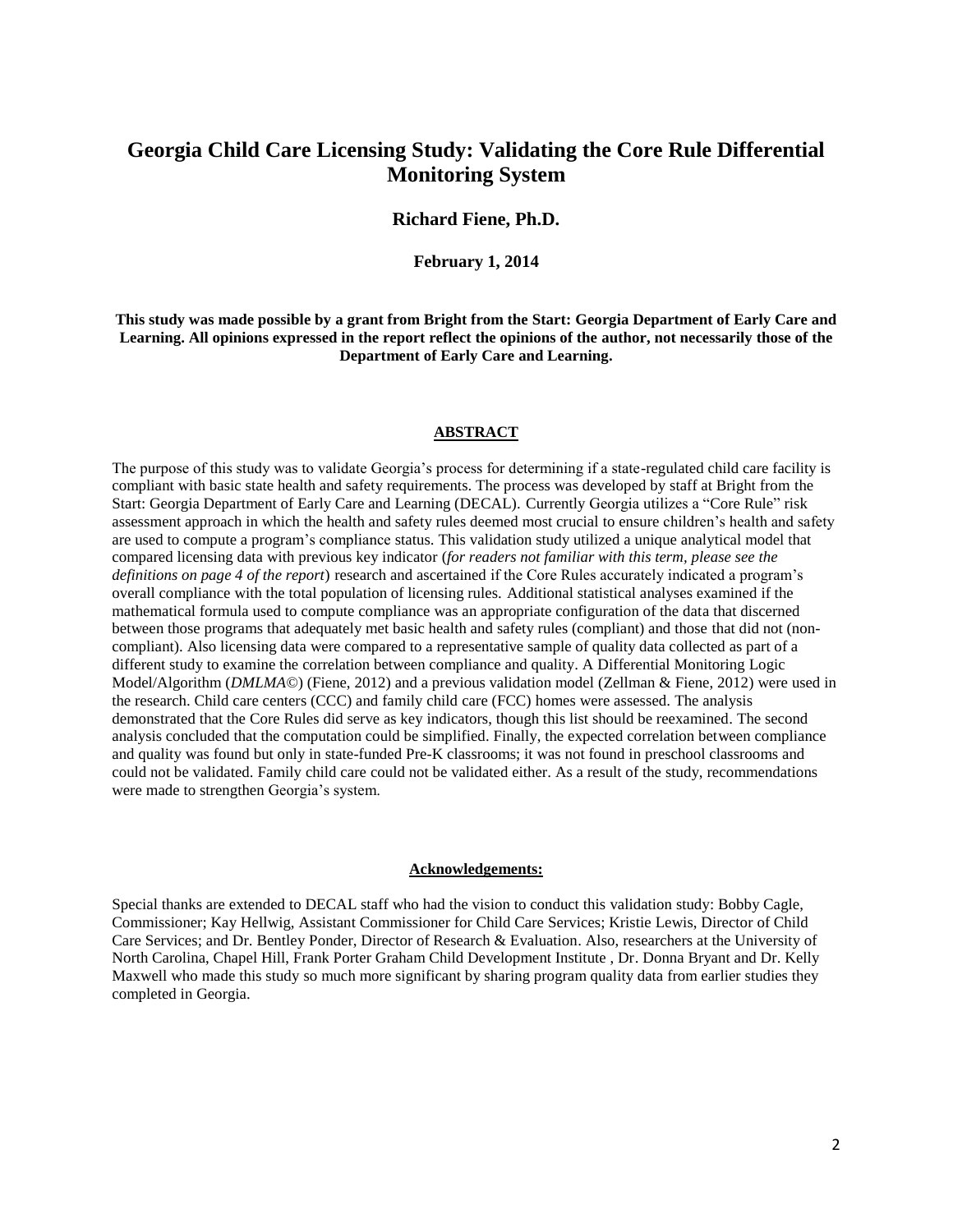## **Georgia Child Care Licensing Study: Validating the Core Rule Differential Monitoring System**

#### **Richard Fiene, Ph.D.**

**February 1, 2014**

**This study was made possible by a grant from Bright from the Start: Georgia Department of Early Care and Learning. All opinions expressed in the report reflect the opinions of the author, not necessarily those of the Department of Early Care and Learning.**

#### **ABSTRACT**

The purpose of this study was to validate Georgia's process for determining if a state-regulated child care facility is compliant with basic state health and safety requirements. The process was developed by staff at Bright from the Start: Georgia Department of Early Care and Learning (DECAL). Currently Georgia utilizes a "Core Rule" risk assessment approach in which the health and safety rules deemed most crucial to ensure children's health and safety are used to compute a program's compliance status. This validation study utilized a unique analytical model that compared licensing data with previous key indicator (*for readers not familiar with this term, please see the definitions on page 4 of the report*) research and ascertained if the Core Rules accurately indicated a program's overall compliance with the total population of licensing rules. Additional statistical analyses examined if the mathematical formula used to compute compliance was an appropriate configuration of the data that discerned between those programs that adequately met basic health and safety rules (compliant) and those that did not (noncompliant). Also licensing data were compared to a representative sample of quality data collected as part of a different study to examine the correlation between compliance and quality. A Differential Monitoring Logic Model/Algorithm (*DMLMA©*) (Fiene, 2012) and a previous validation model (Zellman & Fiene, 2012) were used in the research. Child care centers (CCC) and family child care (FCC) homes were assessed. The analysis demonstrated that the Core Rules did serve as key indicators, though this list should be reexamined. The second analysis concluded that the computation could be simplified. Finally, the expected correlation between compliance and quality was found but only in state-funded Pre-K classrooms; it was not found in preschool classrooms and could not be validated. Family child care could not be validated either. As a result of the study, recommendations were made to strengthen Georgia's system.

#### **Acknowledgements:**

Special thanks are extended to DECAL staff who had the vision to conduct this validation study: Bobby Cagle, Commissioner; Kay Hellwig, Assistant Commissioner for Child Care Services; Kristie Lewis, Director of Child Care Services; and Dr. Bentley Ponder, Director of Research & Evaluation. Also, researchers at the University of North Carolina, Chapel Hill, Frank Porter Graham Child Development Institute , Dr. Donna Bryant and Dr. Kelly Maxwell who made this study so much more significant by sharing program quality data from earlier studies they completed in Georgia.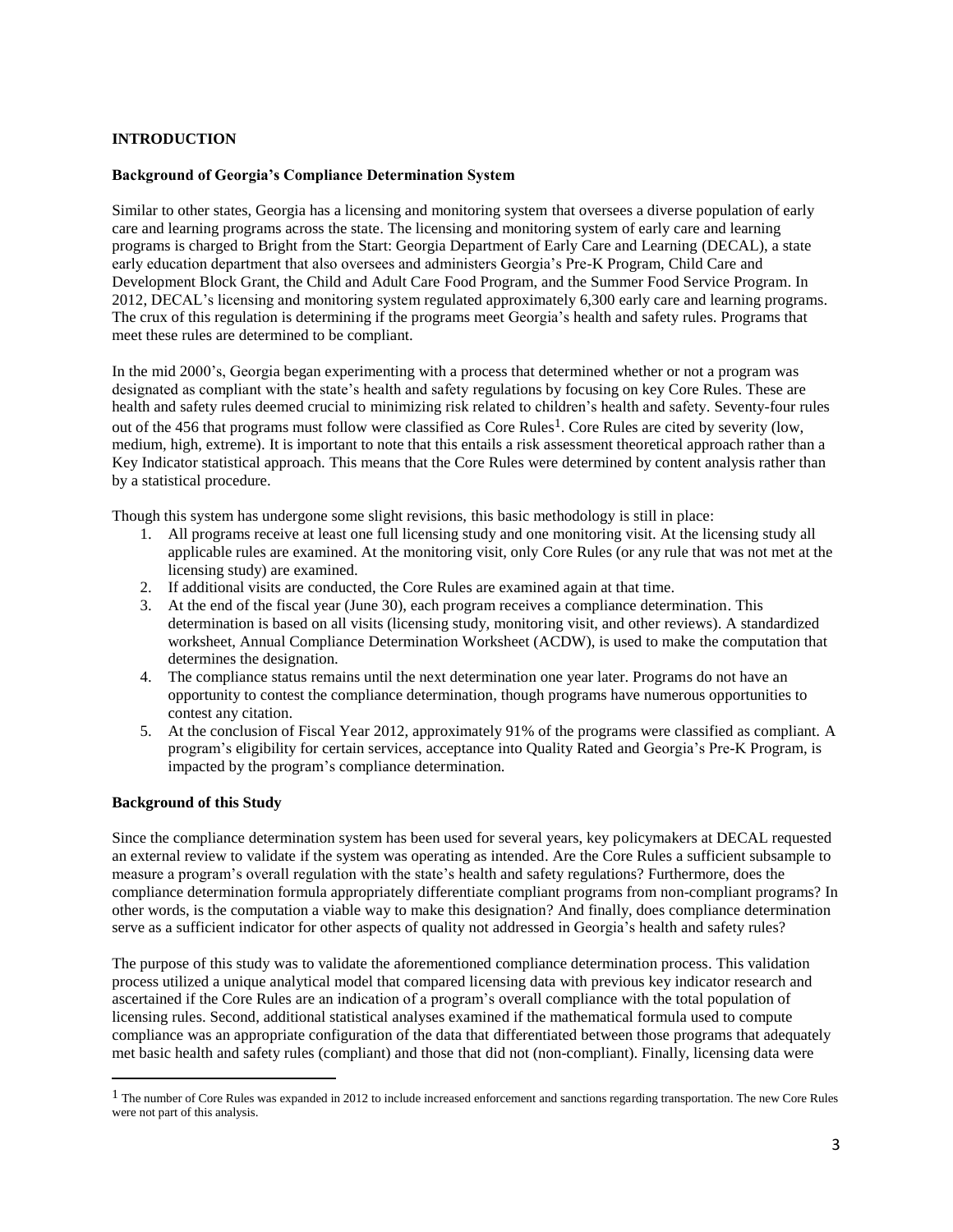#### **INTRODUCTION**

#### **Background of Georgia's Compliance Determination System**

Similar to other states, Georgia has a licensing and monitoring system that oversees a diverse population of early care and learning programs across the state. The licensing and monitoring system of early care and learning programs is charged to Bright from the Start: Georgia Department of Early Care and Learning (DECAL), a state early education department that also oversees and administers Georgia's Pre-K Program, Child Care and Development Block Grant, the Child and Adult Care Food Program, and the Summer Food Service Program. In 2012, DECAL's licensing and monitoring system regulated approximately 6,300 early care and learning programs. The crux of this regulation is determining if the programs meet Georgia's health and safety rules. Programs that meet these rules are determined to be compliant.

In the mid 2000's, Georgia began experimenting with a process that determined whether or not a program was designated as compliant with the state's health and safety regulations by focusing on key Core Rules. These are health and safety rules deemed crucial to minimizing risk related to children's health and safety. Seventy-four rules out of the 456 that programs must follow were classified as Core Rules<sup>1</sup>. Core Rules are cited by severity (low, medium, high, extreme). It is important to note that this entails a risk assessment theoretical approach rather than a Key Indicator statistical approach. This means that the Core Rules were determined by content analysis rather than by a statistical procedure.

Though this system has undergone some slight revisions, this basic methodology is still in place:

- 1. All programs receive at least one full licensing study and one monitoring visit. At the licensing study all applicable rules are examined. At the monitoring visit, only Core Rules (or any rule that was not met at the licensing study) are examined.
- 2. If additional visits are conducted, the Core Rules are examined again at that time.
- 3. At the end of the fiscal year (June 30), each program receives a compliance determination. This determination is based on all visits (licensing study, monitoring visit, and other reviews). A standardized worksheet, Annual Compliance Determination Worksheet (ACDW), is used to make the computation that determines the designation.
- 4. The compliance status remains until the next determination one year later. Programs do not have an opportunity to contest the compliance determination, though programs have numerous opportunities to contest any citation.
- 5. At the conclusion of Fiscal Year 2012, approximately 91% of the programs were classified as compliant. A program's eligibility for certain services, acceptance into Quality Rated and Georgia's Pre-K Program, is impacted by the program's compliance determination.

#### **Background of this Study**

l

Since the compliance determination system has been used for several years, key policymakers at DECAL requested an external review to validate if the system was operating as intended. Are the Core Rules a sufficient subsample to measure a program's overall regulation with the state's health and safety regulations? Furthermore, does the compliance determination formula appropriately differentiate compliant programs from non-compliant programs? In other words, is the computation a viable way to make this designation? And finally, does compliance determination serve as a sufficient indicator for other aspects of quality not addressed in Georgia's health and safety rules?

The purpose of this study was to validate the aforementioned compliance determination process. This validation process utilized a unique analytical model that compared licensing data with previous key indicator research and ascertained if the Core Rules are an indication of a program's overall compliance with the total population of licensing rules. Second, additional statistical analyses examined if the mathematical formula used to compute compliance was an appropriate configuration of the data that differentiated between those programs that adequately met basic health and safety rules (compliant) and those that did not (non-compliant). Finally, licensing data were

 $<sup>1</sup>$  The number of Core Rules was expanded in 2012 to include increased enforcement and sanctions regarding transportation. The new Core Rules</sup> were not part of this analysis.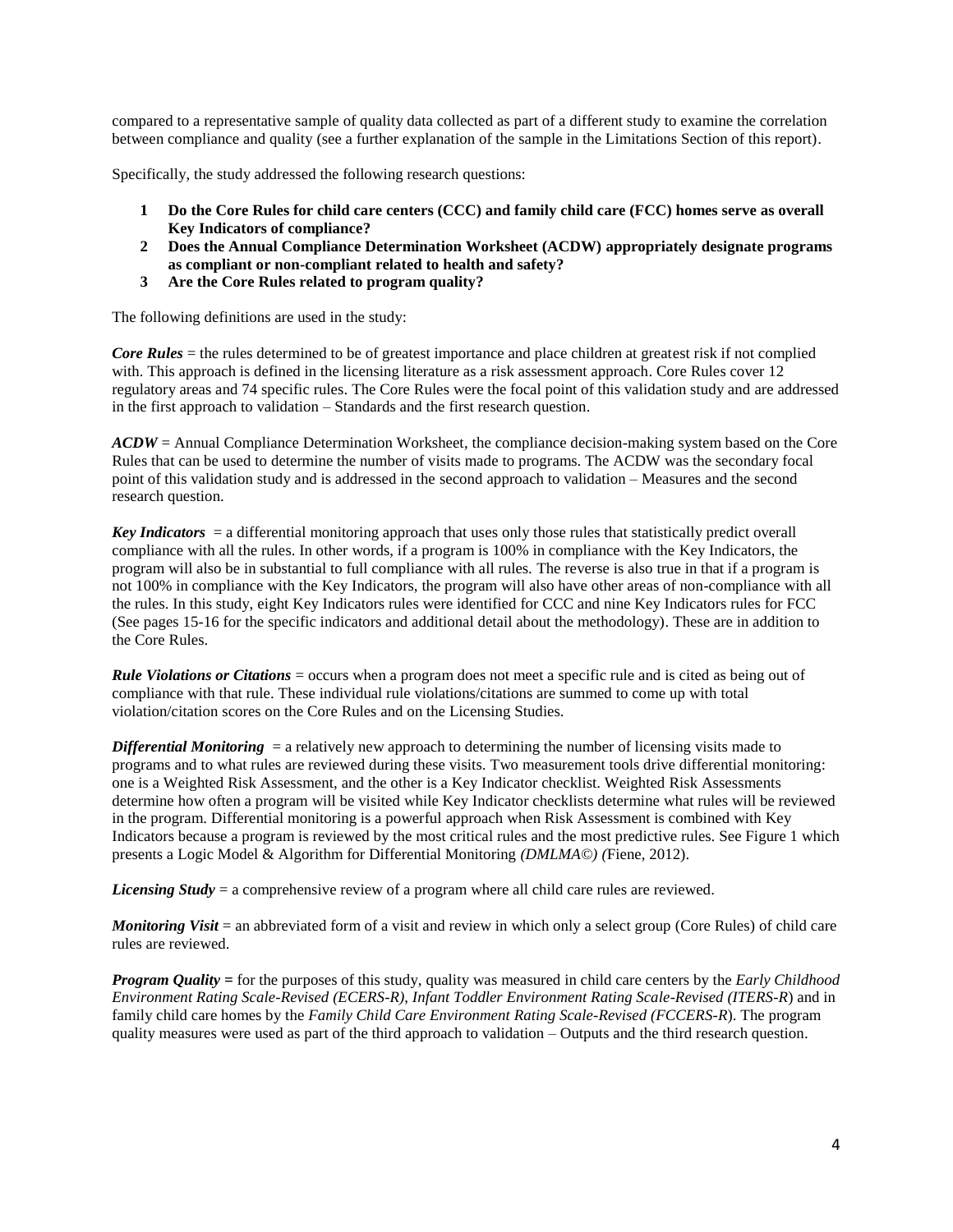compared to a representative sample of quality data collected as part of a different study to examine the correlation between compliance and quality (see a further explanation of the sample in the Limitations Section of this report).

Specifically, the study addressed the following research questions:

- **1 Do the Core Rules for child care centers (CCC) and family child care (FCC) homes serve as overall Key Indicators of compliance?**
- **2 Does the Annual Compliance Determination Worksheet (ACDW) appropriately designate programs as compliant or non-compliant related to health and safety?**
- **3 Are the Core Rules related to program quality?**

The following definitions are used in the study:

*Core Rules* = the rules determined to be of greatest importance and place children at greatest risk if not complied with. This approach is defined in the licensing literature as a risk assessment approach. Core Rules cover 12 regulatory areas and 74 specific rules. The Core Rules were the focal point of this validation study and are addressed in the first approach to validation – Standards and the first research question.

*ACDW* = Annual Compliance Determination Worksheet, the compliance decision-making system based on the Core Rules that can be used to determine the number of visits made to programs. The ACDW was the secondary focal point of this validation study and is addressed in the second approach to validation – Measures and the second research question.

*Key Indicators* = a differential monitoring approach that uses only those rules that statistically predict overall compliance with all the rules. In other words, if a program is 100% in compliance with the Key Indicators, the program will also be in substantial to full compliance with all rules. The reverse is also true in that if a program is not 100% in compliance with the Key Indicators, the program will also have other areas of non-compliance with all the rules. In this study, eight Key Indicators rules were identified for CCC and nine Key Indicators rules for FCC (See pages 15-16 for the specific indicators and additional detail about the methodology). These are in addition to the Core Rules.

*Rule Violations or Citations* = occurs when a program does not meet a specific rule and is cited as being out of compliance with that rule. These individual rule violations/citations are summed to come up with total violation/citation scores on the Core Rules and on the Licensing Studies.

*Differential Monitoring* = a relatively new approach to determining the number of licensing visits made to programs and to what rules are reviewed during these visits. Two measurement tools drive differential monitoring: one is a Weighted Risk Assessment, and the other is a Key Indicator checklist. Weighted Risk Assessments determine how often a program will be visited while Key Indicator checklists determine what rules will be reviewed in the program. Differential monitoring is a powerful approach when Risk Assessment is combined with Key Indicators because a program is reviewed by the most critical rules and the most predictive rules. See Figure 1 which presents a Logic Model & Algorithm for Differential Monitoring *(DMLMA©) (*Fiene, 2012).

*Licensing Study* = a comprehensive review of a program where all child care rules are reviewed.

*Monitoring Visit* = an abbreviated form of a visit and review in which only a select group (Core Rules) of child care rules are reviewed.

*Program Quality =* for the purposes of this study, quality was measured in child care centers by the *Early Childhood Environment Rating Scale-Revised (ECERS-R)*, *Infant Toddler Environment Rating Scale-Revised (ITERS-R*) and in family child care homes by the *Family Child Care Environment Rating Scale-Revised (FCCERS-R*). The program quality measures were used as part of the third approach to validation – Outputs and the third research question.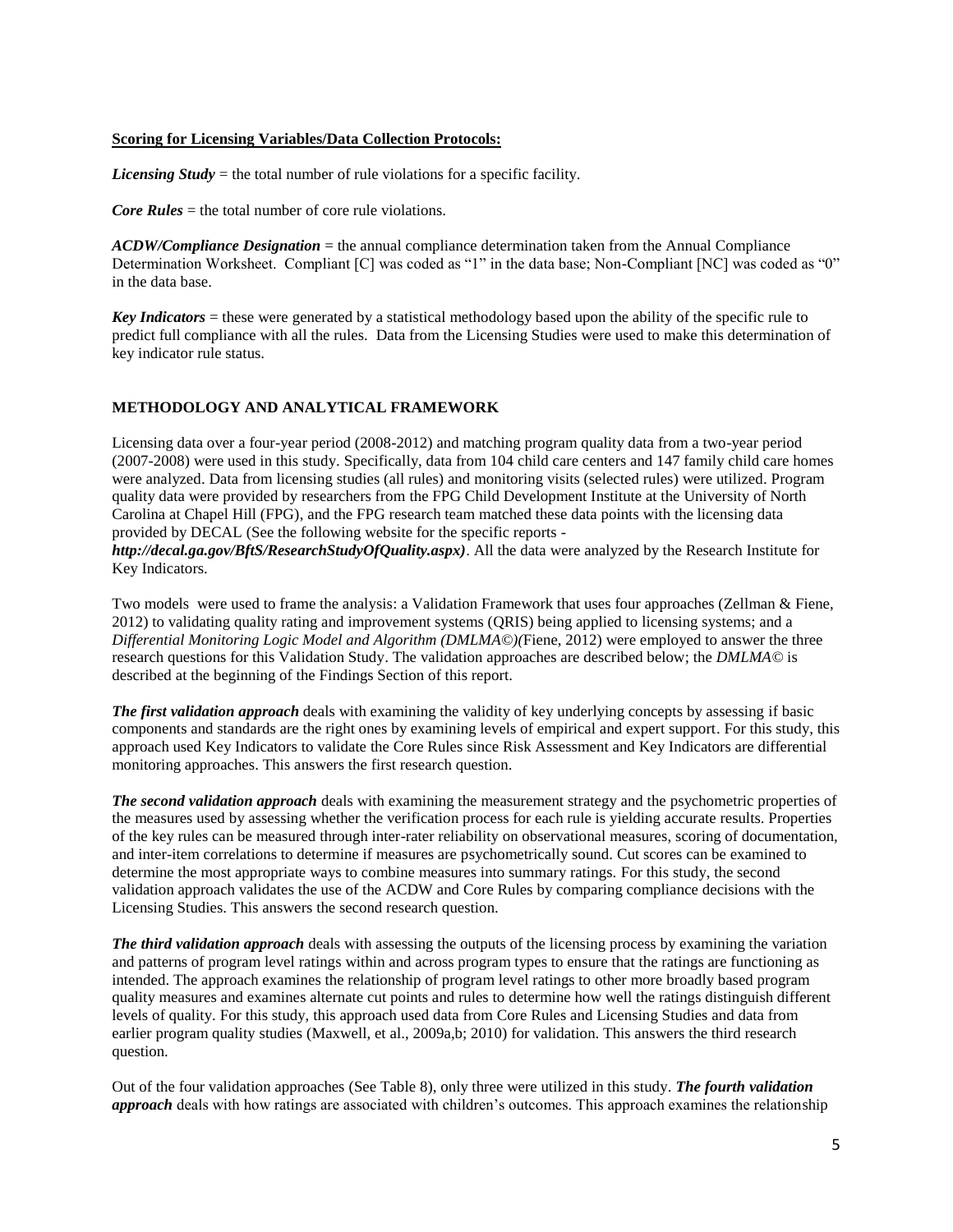#### **Scoring for Licensing Variables/Data Collection Protocols:**

*Licensing Study* = the total number of rule violations for a specific facility.

*Core Rules* = the total number of core rule violations.

*ACDW/Compliance Designation* = the annual compliance determination taken from the Annual Compliance Determination Worksheet. Compliant [C] was coded as "1" in the data base; Non-Compliant [NC] was coded as "0" in the data base.

*Key Indicators* = these were generated by a statistical methodology based upon the ability of the specific rule to predict full compliance with all the rules. Data from the Licensing Studies were used to make this determination of key indicator rule status.

#### **METHODOLOGY AND ANALYTICAL FRAMEWORK**

Licensing data over a four-year period (2008-2012) and matching program quality data from a two-year period (2007-2008) were used in this study. Specifically, data from 104 child care centers and 147 family child care homes were analyzed. Data from licensing studies (all rules) and monitoring visits (selected rules) were utilized. Program quality data were provided by researchers from the FPG Child Development Institute at the University of North Carolina at Chapel Hill (FPG), and the FPG research team matched these data points with the licensing data provided by DECAL (See the following website for the specific reports -

*http://decal.ga.gov/BftS/ResearchStudyOfQuality.aspx)*. All the data were analyzed by the Research Institute for Key Indicators.

Two models were used to frame the analysis: a Validation Framework that uses four approaches (Zellman & Fiene, 2012) to validating quality rating and improvement systems (QRIS) being applied to licensing systems; and a *Differential Monitoring Logic Model and Algorithm (DMLMA©)(*Fiene, 2012) were employed to answer the three research questions for this Validation Study. The validation approaches are described below; the *DMLMA©* is described at the beginning of the Findings Section of this report.

*The first validation approach* deals with examining the validity of key underlying concepts by assessing if basic components and standards are the right ones by examining levels of empirical and expert support. For this study, this approach used Key Indicators to validate the Core Rules since Risk Assessment and Key Indicators are differential monitoring approaches. This answers the first research question.

*The second validation approach* deals with examining the measurement strategy and the psychometric properties of the measures used by assessing whether the verification process for each rule is yielding accurate results. Properties of the key rules can be measured through inter-rater reliability on observational measures, scoring of documentation, and inter-item correlations to determine if measures are psychometrically sound. Cut scores can be examined to determine the most appropriate ways to combine measures into summary ratings. For this study, the second validation approach validates the use of the ACDW and Core Rules by comparing compliance decisions with the Licensing Studies. This answers the second research question.

*The third validation approach* deals with assessing the outputs of the licensing process by examining the variation and patterns of program level ratings within and across program types to ensure that the ratings are functioning as intended. The approach examines the relationship of program level ratings to other more broadly based program quality measures and examines alternate cut points and rules to determine how well the ratings distinguish different levels of quality. For this study, this approach used data from Core Rules and Licensing Studies and data from earlier program quality studies (Maxwell, et al., 2009a,b; 2010) for validation. This answers the third research question.

Out of the four validation approaches (See Table 8), only three were utilized in this study. *The fourth validation approach* deals with how ratings are associated with children's outcomes. This approach examines the relationship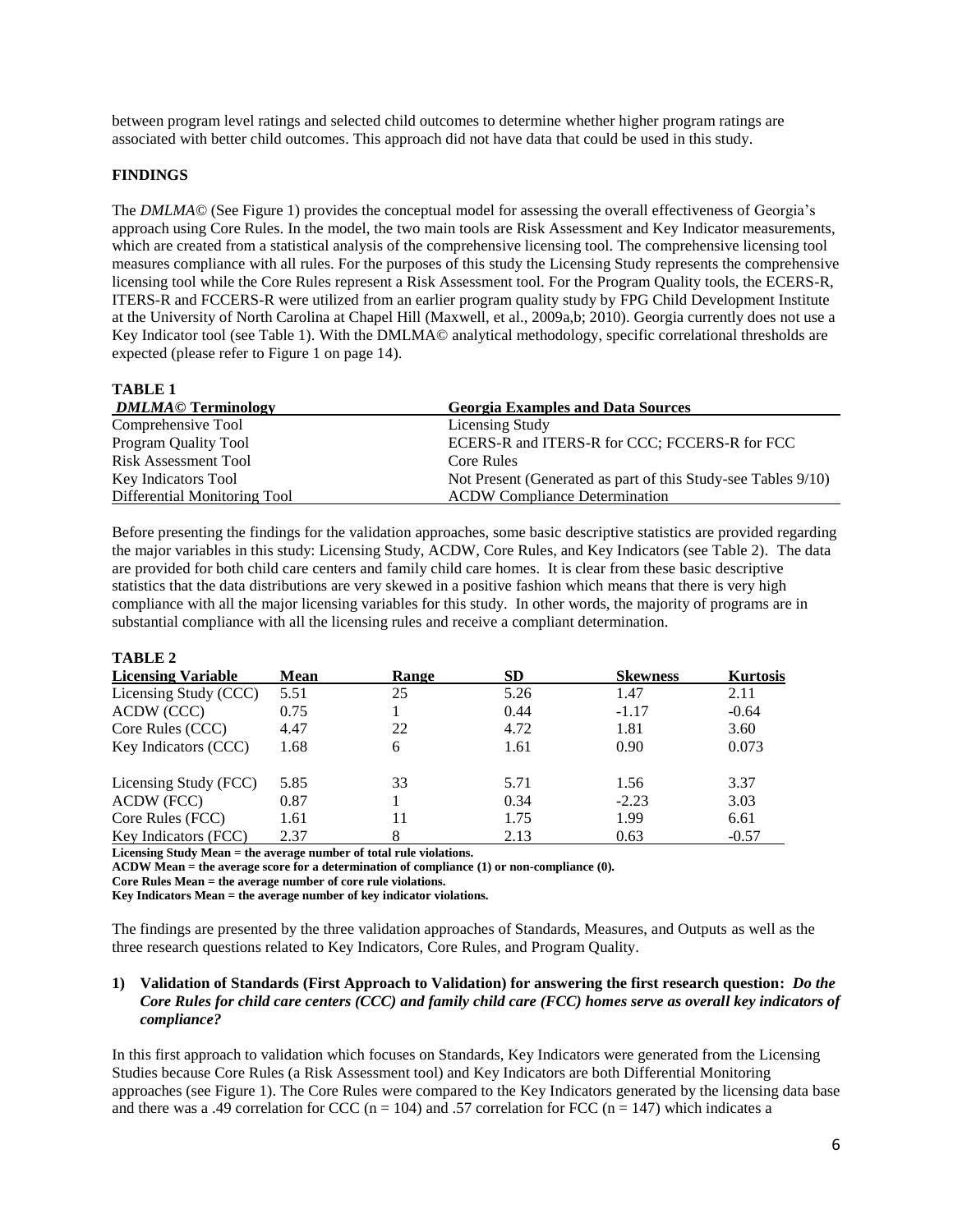between program level ratings and selected child outcomes to determine whether higher program ratings are associated with better child outcomes. This approach did not have data that could be used in this study.

#### **FINDINGS**

The *DMLMA*© (See Figure 1) provides the conceptual model for assessing the overall effectiveness of Georgia's approach using Core Rules. In the model, the two main tools are Risk Assessment and Key Indicator measurements, which are created from a statistical analysis of the comprehensive licensing tool. The comprehensive licensing tool measures compliance with all rules. For the purposes of this study the Licensing Study represents the comprehensive licensing tool while the Core Rules represent a Risk Assessment tool. For the Program Quality tools, the ECERS-R, ITERS-R and FCCERS-R were utilized from an earlier program quality study by FPG Child Development Institute at the University of North Carolina at Chapel Hill (Maxwell, et al., 2009a,b; 2010). Georgia currently does not use a Key Indicator tool (see Table 1). With the DMLMA© analytical methodology, specific correlational thresholds are expected (please refer to Figure 1 on page 14).

**TABLE 1**

**TABLE 2**

| <b>DMLMA© Terminology</b>    | <b>Georgia Examples and Data Sources</b>                      |
|------------------------------|---------------------------------------------------------------|
| Comprehensive Tool           | Licensing Study                                               |
| Program Quality Tool         | ECERS-R and ITERS-R for CCC; FCCERS-R for FCC                 |
| Risk Assessment Tool         | Core Rules                                                    |
| Key Indicators Tool          | Not Present (Generated as part of this Study-see Tables 9/10) |
| Differential Monitoring Tool | <b>ACDW</b> Compliance Determination                          |

Before presenting the findings for the validation approaches, some basic descriptive statistics are provided regarding the major variables in this study: Licensing Study, ACDW, Core Rules, and Key Indicators (see Table 2). The data are provided for both child care centers and family child care homes. It is clear from these basic descriptive statistics that the data distributions are very skewed in a positive fashion which means that there is very high compliance with all the major licensing variables for this study. In other words, the majority of programs are in substantial compliance with all the licensing rules and receive a compliant determination.

| $1$ ADLE 4                |      |       |           |                 |                 |
|---------------------------|------|-------|-----------|-----------------|-----------------|
| <b>Licensing Variable</b> | Mean | Range | <b>SD</b> | <b>Skewness</b> | <b>Kurtosis</b> |
| Licensing Study (CCC)     | 5.51 | 25    | 5.26      | 1.47            | 2.11            |
| ACDW (CCC)                | 0.75 |       | 0.44      | $-1.17$         | $-0.64$         |
| Core Rules (CCC)          | 4.47 | 22    | 4.72      | 1.81            | 3.60            |
| Key Indicators (CCC)      | 1.68 | 6     | 1.61      | 0.90            | 0.073           |
| Licensing Study (FCC)     | 5.85 | 33    | 5.71      | 1.56            | 3.37            |
| ACDW (FCC)                | 0.87 |       | 0.34      | $-2.23$         | 3.03            |
| Core Rules (FCC)          | 1.61 | 11    | 1.75      | 1.99            | 6.61            |
| Key Indicators (FCC)      | 2.37 |       | 2.13      | 0.63            | $-0.57$         |

**Licensing Study Mean = the average number of total rule violations.**

**ACDW Mean = the average score for a determination of compliance (1) or non-compliance (0).**

**Core Rules Mean = the average number of core rule violations.**

**Key Indicators Mean = the average number of key indicator violations.**

The findings are presented by the three validation approaches of Standards, Measures, and Outputs as well as the three research questions related to Key Indicators, Core Rules, and Program Quality.

#### **1) Validation of Standards (First Approach to Validation) for answering the first research question:** *Do the Core Rules for child care centers (CCC) and family child care (FCC) homes serve as overall key indicators of compliance?*

In this first approach to validation which focuses on Standards, Key Indicators were generated from the Licensing Studies because Core Rules (a Risk Assessment tool) and Key Indicators are both Differential Monitoring approaches (see Figure 1). The Core Rules were compared to the Key Indicators generated by the licensing data base and there was a .49 correlation for CCC (n = 104) and .57 correlation for FCC (n = 147) which indicates a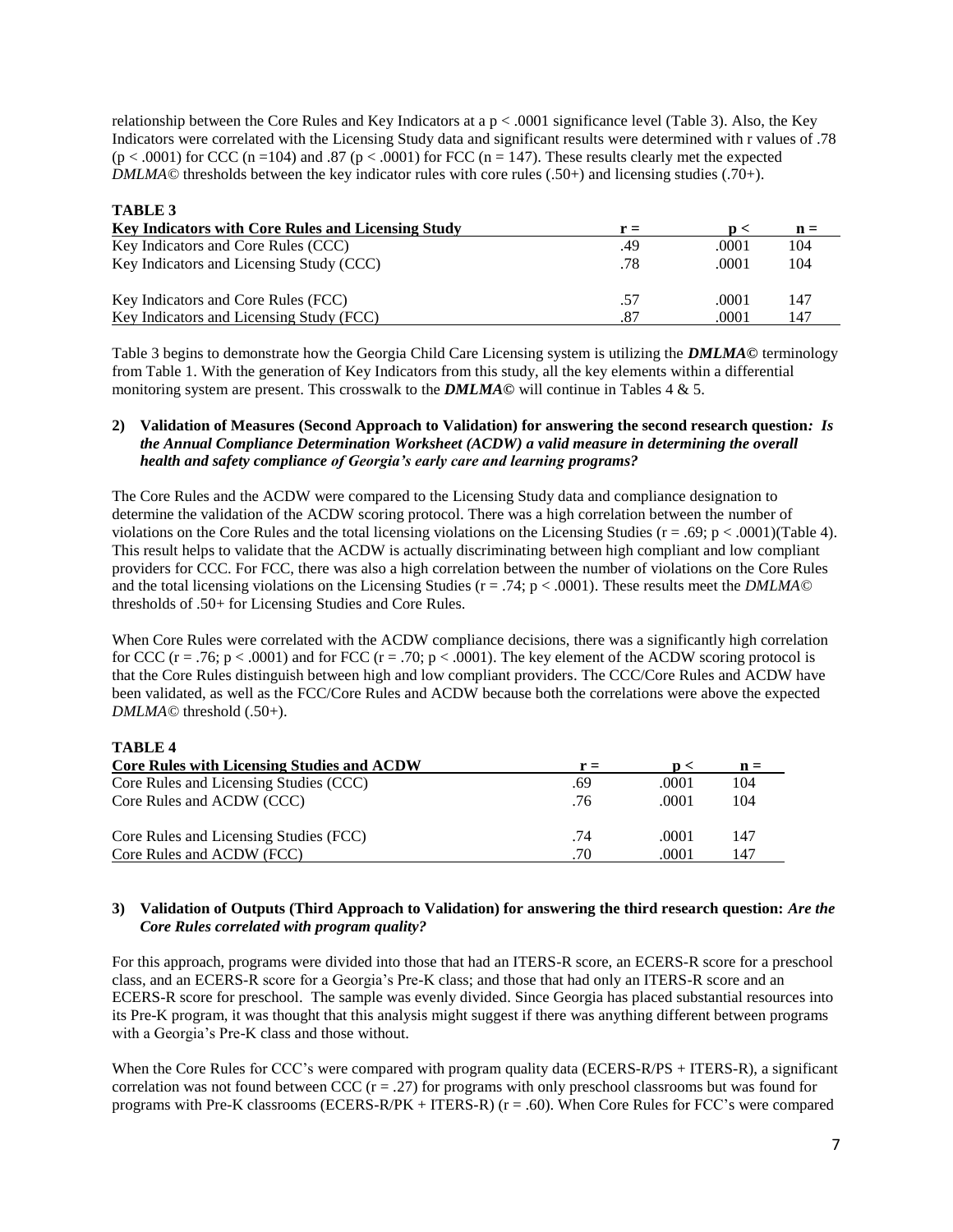relationship between the Core Rules and Key Indicators at a p < .0001 significance level (Table 3). Also, the Key Indicators were correlated with the Licensing Study data and significant results were determined with r values of .78  $(p < .0001)$  for CCC (n = 104) and .87 (p < .0001) for FCC (n = 147). These results clearly met the expected *DMLMA*© thresholds between the key indicator rules with core rules (.50+) and licensing studies (.70+).

| <b>TABLE 3</b>                                            |     |       |                |
|-----------------------------------------------------------|-----|-------|----------------|
| <b>Key Indicators with Core Rules and Licensing Study</b> | r = | n <   | $\mathbf{n} =$ |
| Key Indicators and Core Rules (CCC)                       | .49 | .0001 | 104            |
| Key Indicators and Licensing Study (CCC)                  | .78 | .0001 | 104            |
| Key Indicators and Core Rules (FCC)                       | .57 | .0001 | 147            |
| Key Indicators and Licensing Study (FCC)                  | .87 | .0001 | 147            |

Table 3 begins to demonstrate how the Georgia Child Care Licensing system is utilizing the *DMLMA©* terminology from Table 1. With the generation of Key Indicators from this study, all the key elements within a differential monitoring system are present. This crosswalk to the *DMLMA©* will continue in Tables 4 & 5.

#### **2) Validation of Measures (Second Approach to Validation) for answering the second research question***: Is the Annual Compliance Determination Worksheet (ACDW) a valid measure in determining the overall health and safety compliance of Georgia's early care and learning programs?*

The Core Rules and the ACDW were compared to the Licensing Study data and compliance designation to determine the validation of the ACDW scoring protocol. There was a high correlation between the number of violations on the Core Rules and the total licensing violations on the Licensing Studies ( $r = .69$ ;  $p < .0001$ )(Table 4). This result helps to validate that the ACDW is actually discriminating between high compliant and low compliant providers for CCC. For FCC, there was also a high correlation between the number of violations on the Core Rules and the total licensing violations on the Licensing Studies (r = .74; p < .0001). These results meet the *DMLMA©* thresholds of .50+ for Licensing Studies and Core Rules.

When Core Rules were correlated with the ACDW compliance decisions, there was a significantly high correlation for CCC ( $r = .76$ ;  $p < .0001$ ) and for FCC ( $r = .70$ ;  $p < .0001$ ). The key element of the ACDW scoring protocol is that the Core Rules distinguish between high and low compliant providers. The CCC/Core Rules and ACDW have been validated, as well as the FCC/Core Rules and ACDW because both the correlations were above the expected *DMLMA©* threshold (.50+).

#### **TABLE 4**

| <b>Core Rules with Licensing Studies and ACDW</b> | r = | n <   | $\mathbf{n} =$ |
|---------------------------------------------------|-----|-------|----------------|
| Core Rules and Licensing Studies (CCC)            | .69 | .0001 | 104            |
| Core Rules and ACDW (CCC)                         | .76 | .0001 | 104            |
| Core Rules and Licensing Studies (FCC)            | .74 | .0001 | 147            |
| Core Rules and ACDW (FCC)                         | .70 | .0001 | 147            |

#### **3) Validation of Outputs (Third Approach to Validation) for answering the third research question:** *Are the Core Rules correlated with program quality?*

For this approach, programs were divided into those that had an ITERS-R score, an ECERS-R score for a preschool class, and an ECERS-R score for a Georgia's Pre-K class; and those that had only an ITERS-R score and an ECERS-R score for preschool. The sample was evenly divided. Since Georgia has placed substantial resources into its Pre-K program, it was thought that this analysis might suggest if there was anything different between programs with a Georgia's Pre-K class and those without.

When the Core Rules for CCC's were compared with program quality data (ECERS-R/PS + ITERS-R), a significant correlation was not found between CCC  $(r = .27)$  for programs with only preschool classrooms but was found for programs with Pre-K classrooms (ECERS-R/PK + ITERS-R) (r = .60). When Core Rules for FCC's were compared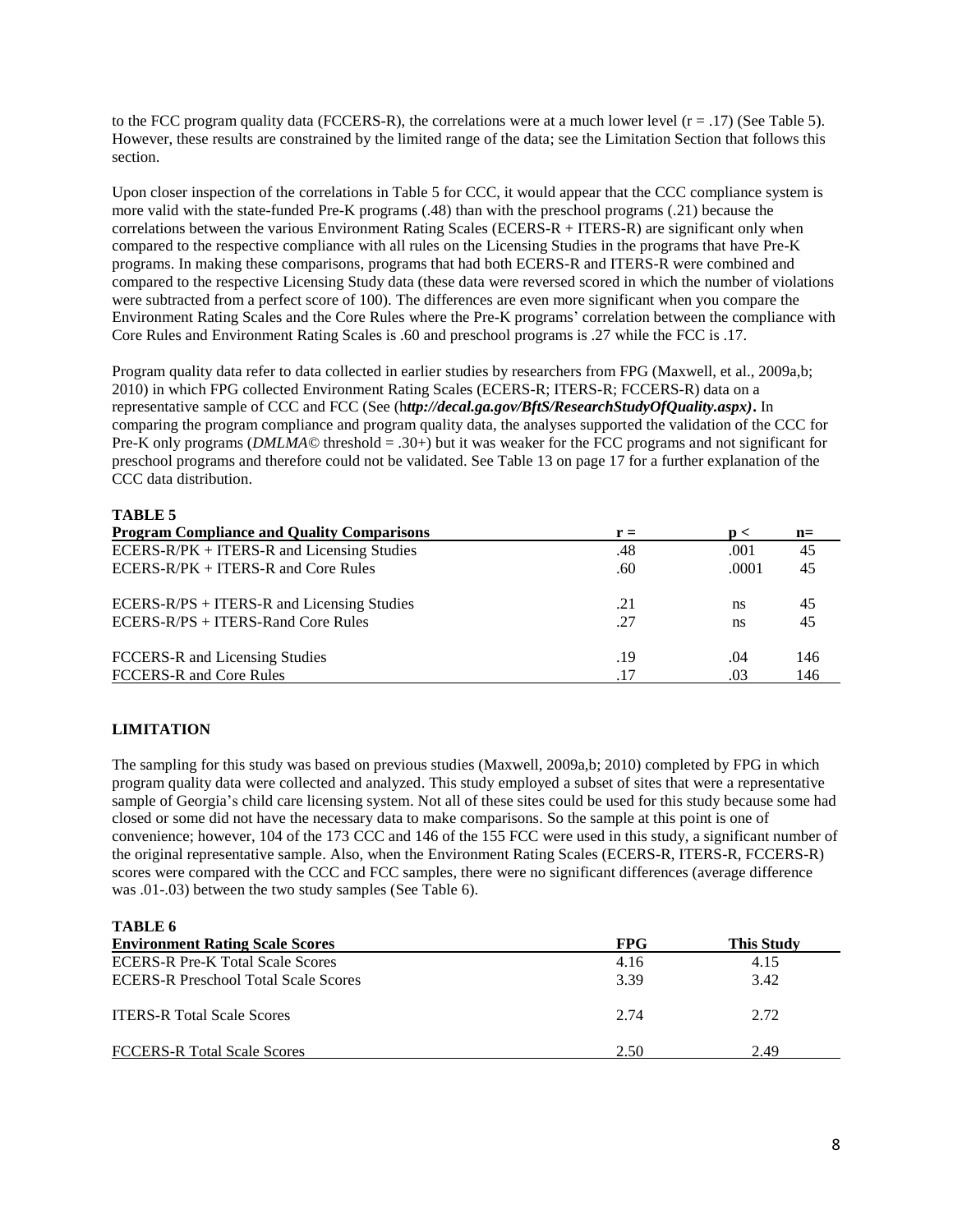to the FCC program quality data (FCCERS-R), the correlations were at a much lower level  $(r = .17)$  (See Table 5). However, these results are constrained by the limited range of the data; see the Limitation Section that follows this section.

Upon closer inspection of the correlations in Table 5 for CCC, it would appear that the CCC compliance system is more valid with the state-funded Pre-K programs (.48) than with the preschool programs (.21) because the correlations between the various Environment Rating Scales (ECERS-R + ITERS-R) are significant only when compared to the respective compliance with all rules on the Licensing Studies in the programs that have Pre-K programs. In making these comparisons, programs that had both ECERS-R and ITERS-R were combined and compared to the respective Licensing Study data (these data were reversed scored in which the number of violations were subtracted from a perfect score of 100). The differences are even more significant when you compare the Environment Rating Scales and the Core Rules where the Pre-K programs' correlation between the compliance with Core Rules and Environment Rating Scales is .60 and preschool programs is .27 while the FCC is .17.

Program quality data refer to data collected in earlier studies by researchers from FPG (Maxwell, et al., 2009a,b; 2010) in which FPG collected Environment Rating Scales (ECERS-R; ITERS-R; FCCERS-R) data on a representative sample of CCC and FCC (See (h*ttp://decal.ga.gov/BftS/ResearchStudyOfQuality.aspx)***.** In comparing the program compliance and program quality data, the analyses supported the validation of the CCC for Pre-K only programs (*DMLMA©* threshold = .30+) but it was weaker for the FCC programs and not significant for preschool programs and therefore could not be validated. See Table 13 on page 17 for a further explanation of the CCC data distribution.

#### **TABLE 5**

| <b>Program Compliance and Quality Comparisons</b> | $r =$ | $\mathbf{D}$ | $n=$ |
|---------------------------------------------------|-------|--------------|------|
| ECERS-R/PK + ITERS-R and Licensing Studies        | .48   | .001         | 45   |
| ECERS-R/PK + ITERS-R and Core Rules               | .60   | .0001        | 45   |
| ECERS-R/PS + ITERS-R and Licensing Studies        | .21   | ns           | 45   |
| ECERS-R/PS + ITERS-Rand Core Rules                | .27   | ns           | 45   |
| FCCERS-R and Licensing Studies                    | .19   | .04          | 146  |
| FCCERS-R and Core Rules                           | .17   | .03          | 146  |

#### **LIMITATION**

The sampling for this study was based on previous studies (Maxwell, 2009a,b; 2010) completed by FPG in which program quality data were collected and analyzed. This study employed a subset of sites that were a representative sample of Georgia's child care licensing system. Not all of these sites could be used for this study because some had closed or some did not have the necessary data to make comparisons. So the sample at this point is one of convenience; however, 104 of the 173 CCC and 146 of the 155 FCC were used in this study, a significant number of the original representative sample. Also, when the Environment Rating Scales (ECERS-R, ITERS-R, FCCERS-R) scores were compared with the CCC and FCC samples, there were no significant differences (average difference was .01-.03) between the two study samples (See Table 6).

**TABLE 6**

| <b>Environment Rating Scale Scores</b>      | <b>FPG</b> | <b>This Study</b> |
|---------------------------------------------|------------|-------------------|
| <b>ECERS-R Pre-K Total Scale Scores</b>     | 4.16       | 4.15              |
| <b>ECERS-R Preschool Total Scale Scores</b> | 3.39       | 3.42              |
| <b>ITERS-R Total Scale Scores</b>           | 2.74       | 2.72              |
| <b>FCCERS-R Total Scale Scores</b>          | 2.50       | 2.49              |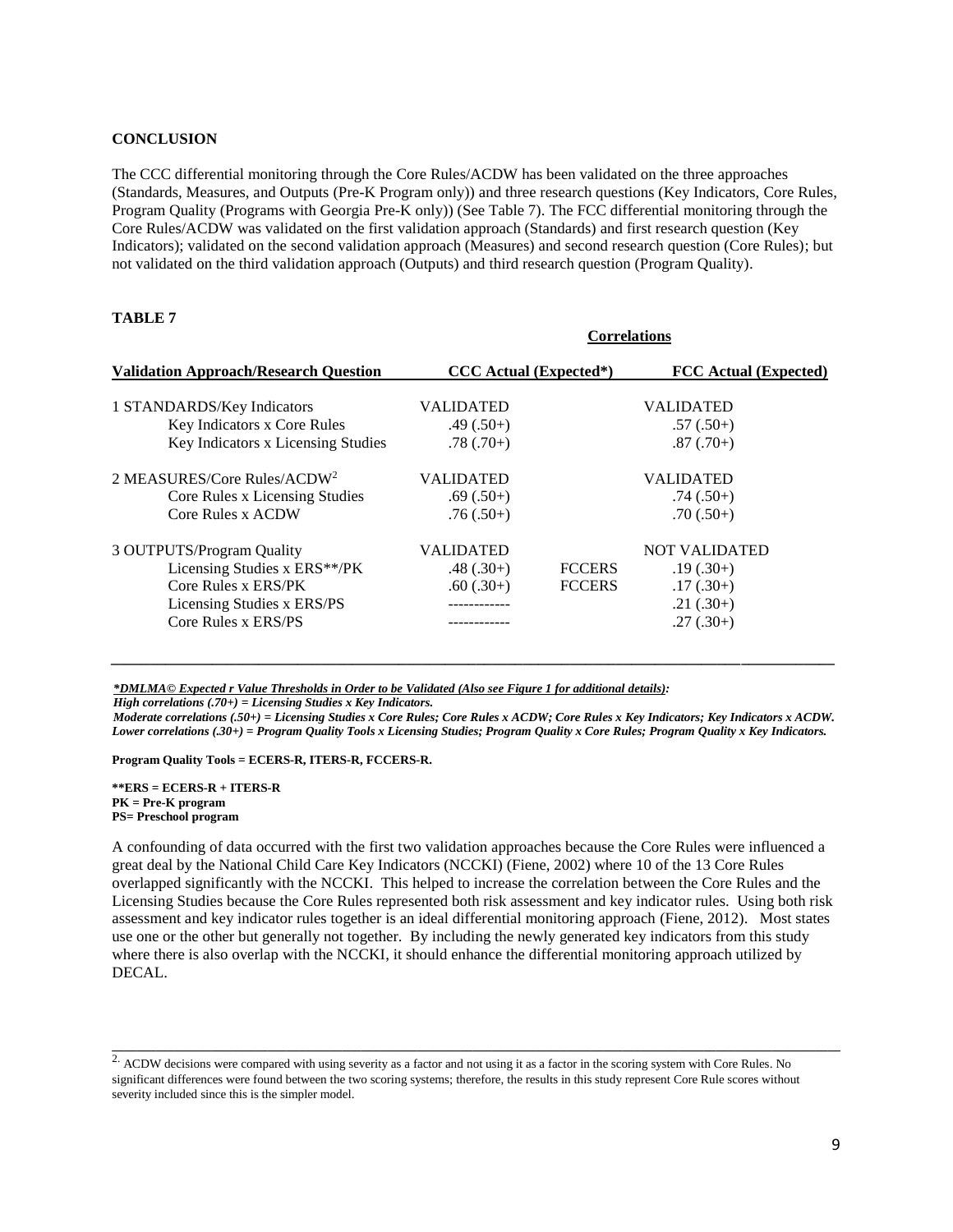#### **CONCLUSION**

The CCC differential monitoring through the Core Rules/ACDW has been validated on the three approaches (Standards, Measures, and Outputs (Pre-K Program only)) and three research questions (Key Indicators, Core Rules, Program Quality (Programs with Georgia Pre-K only)) (See Table 7). The FCC differential monitoring through the Core Rules/ACDW was validated on the first validation approach (Standards) and first research question (Key Indicators); validated on the second validation approach (Measures) and second research question (Core Rules); but not validated on the third validation approach (Outputs) and third research question (Program Quality).

 **Correlations**

#### **TABLE 7**

|                                              | COLLETATIONS                  |               |                              |  |
|----------------------------------------------|-------------------------------|---------------|------------------------------|--|
| <b>Validation Approach/Research Question</b> | <b>CCC</b> Actual (Expected*) |               | <b>FCC</b> Actual (Expected) |  |
| 1 STANDARDS/Key Indicators                   | <b>VALIDATED</b>              |               | <b>VALIDATED</b>             |  |
| Key Indicators x Core Rules                  | $.49(.50+)$                   |               | $.57(.50+)$                  |  |
| Key Indicators x Licensing Studies           | $.78(.70+)$                   |               | $.87(.70+)$                  |  |
| 2 MEASURES/Core Rules/ACDW <sup>2</sup>      | <b>VALIDATED</b>              |               | <b>VALIDATED</b>             |  |
| Core Rules x Licensing Studies               | $.69(.50+)$                   |               | $.74(.50+)$                  |  |
| Core Rules x ACDW                            | $.76(.50+)$                   |               | $.70(.50+)$                  |  |
| 3 OUTPUTS/Program Quality                    | <b>VALIDATED</b>              |               | <b>NOT VALIDATED</b>         |  |
| Licensing Studies x ERS**/PK                 | $.48(.30+)$                   | <b>FCCERS</b> | $.19(.30+)$                  |  |
| Core Rules x ERS/PK                          | $.60(.30+)$                   | <b>FCCERS</b> | $.17(.30+)$                  |  |
| Licensing Studies x ERS/PS                   |                               |               | $.21(.30+)$                  |  |
| Core Rules x ERS/PS                          |                               |               | $.27(.30+)$                  |  |

*\*DMLMA© Expected r Value Thresholds in Order to be Validated (Also see Figure 1 for additional details):*

*High correlations (.70+) = Licensing Studies x Key Indicators.* 

*Moderate correlations (.50+) = Licensing Studies x Core Rules; Core Rules x ACDW; Core Rules x Key Indicators; Key Indicators x ACDW. Lower correlations (.30+) = Program Quality Tools x Licensing Studies; Program Quality x Core Rules; Program Quality x Key Indicators.*

*\_\_\_\_\_\_\_\_\_\_\_\_\_\_\_\_\_\_\_\_\_\_\_\_\_\_\_\_\_\_\_\_\_\_\_\_\_\_\_\_\_\_\_\_\_\_\_\_\_\_\_\_\_\_\_\_\_\_\_\_\_\_\_\_\_\_\_\_\_\_\_\_\_\_\_\_\_\_\_\_\_\_\_\_\_\_\_\_\_\_\_\_\_*

**Program Quality Tools = ECERS-R, ITERS-R, FCCERS-R.** 

**\*\*ERS = ECERS-R + ITERS-R PK = Pre-K program PS= Preschool program**

A confounding of data occurred with the first two validation approaches because the Core Rules were influenced a great deal by the National Child Care Key Indicators (NCCKI) (Fiene, 2002) where 10 of the 13 Core Rules overlapped significantly with the NCCKI. This helped to increase the correlation between the Core Rules and the Licensing Studies because the Core Rules represented both risk assessment and key indicator rules. Using both risk assessment and key indicator rules together is an ideal differential monitoring approach (Fiene, 2012). Most states use one or the other but generally not together. By including the newly generated key indicators from this study where there is also overlap with the NCCKI, it should enhance the differential monitoring approach utilized by DECAL.

**\_\_\_\_\_\_\_\_\_\_\_\_\_\_\_\_\_\_\_\_\_\_\_\_\_\_\_\_\_\_\_\_\_\_\_\_\_\_\_\_\_\_\_\_\_\_\_\_\_\_\_\_\_\_\_\_\_\_\_\_\_\_\_\_\_\_\_\_\_\_\_\_\_\_\_\_\_\_\_\_\_\_\_\_\_\_\_\_\_\_\_\_\_\_\_\_\_\_\_\_\_\_\_\_\_\_\_\_\_\_\_\_\_\_\_\_\_**

<sup>&</sup>lt;sup>2.</sup> ACDW decisions were compared with using severity as a factor and not using it as a factor in the scoring system with Core Rules. No significant differences were found between the two scoring systems; therefore, the results in this study represent Core Rule scores without severity included since this is the simpler model.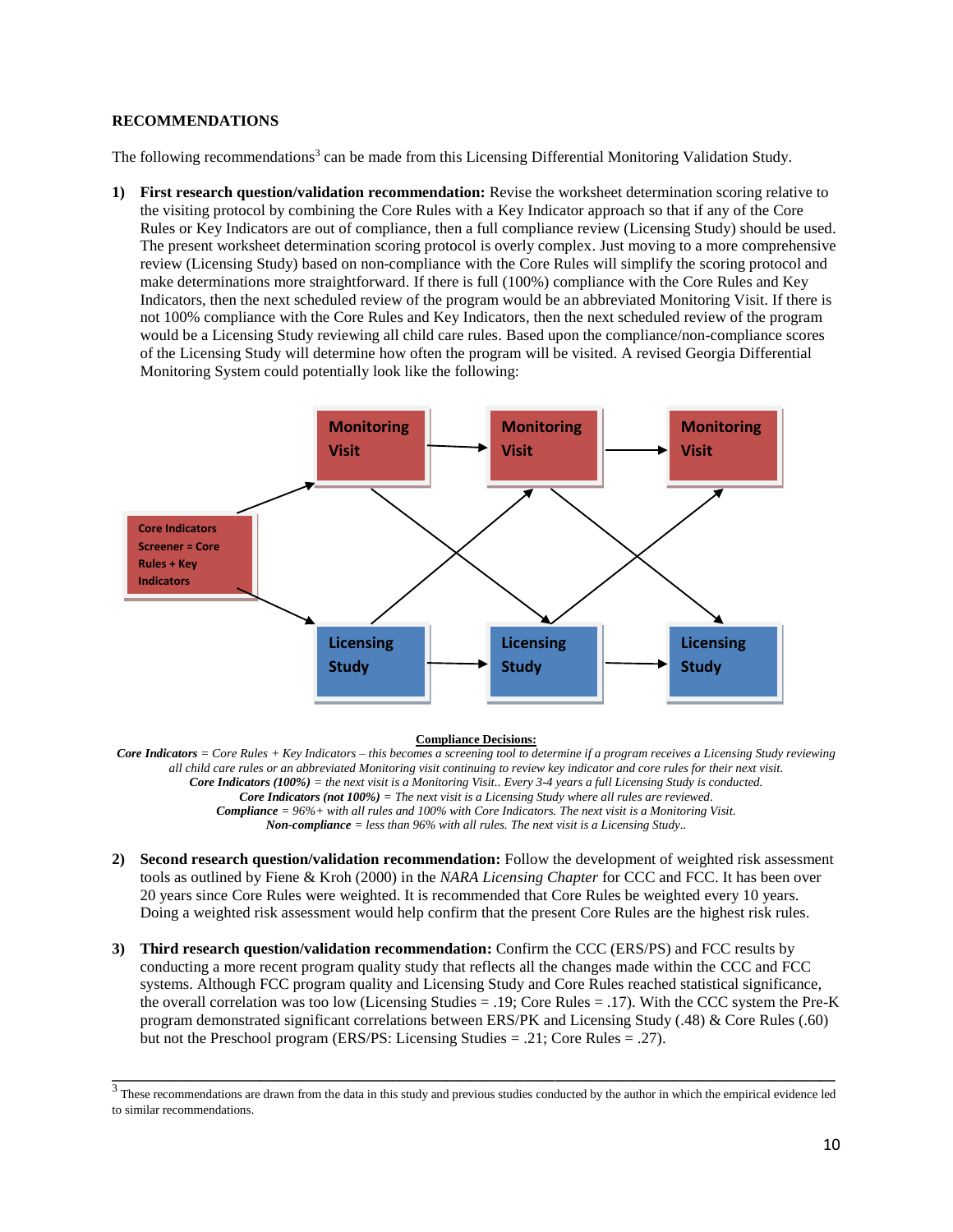#### **RECOMMENDATIONS**

The following recommendations<sup>3</sup> can be made from this Licensing Differential Monitoring Validation Study.

**1) First research question/validation recommendation:** Revise the worksheet determination scoring relative to the visiting protocol by combining the Core Rules with a Key Indicator approach so that if any of the Core Rules or Key Indicators are out of compliance, then a full compliance review (Licensing Study) should be used. The present worksheet determination scoring protocol is overly complex. Just moving to a more comprehensive review (Licensing Study) based on non-compliance with the Core Rules will simplify the scoring protocol and make determinations more straightforward. If there is full (100%) compliance with the Core Rules and Key Indicators, then the next scheduled review of the program would be an abbreviated Monitoring Visit. If there is not 100% compliance with the Core Rules and Key Indicators, then the next scheduled review of the program would be a Licensing Study reviewing all child care rules. Based upon the compliance/non-compliance scores of the Licensing Study will determine how often the program will be visited. A revised Georgia Differential Monitoring System could potentially look like the following:



#### **Compliance Decisions:**

*Core Indicators = Core Rules + Key Indicators – this becomes a screening tool to determine if a program receives a Licensing Study reviewing all child care rules or an abbreviated Monitoring visit continuing to review key indicator and core rules for their next visit. Core Indicators (100%) = the next visit is a Monitoring Visit.. Every 3-4 years a full Licensing Study is conducted. Core Indicators (not 100%) = The next visit is a Licensing Study where all rules are reviewed. Compliance = 96%+ with all rules and 100% with Core Indicators. The next visit is a Monitoring Visit. Non-compliance = less than 96% with all rules. The next visit is a Licensing Study..*

- **2) Second research question/validation recommendation:** Follow the development of weighted risk assessment tools as outlined by Fiene & Kroh (2000) in the *NARA Licensing Chapter* for CCC and FCC. It has been over 20 years since Core Rules were weighted. It is recommended that Core Rules be weighted every 10 years. Doing a weighted risk assessment would help confirm that the present Core Rules are the highest risk rules.
- **3) Third research question/validation recommendation:** Confirm the CCC (ERS/PS) and FCC results by conducting a more recent program quality study that reflects all the changes made within the CCC and FCC systems. Although FCC program quality and Licensing Study and Core Rules reached statistical significance, the overall correlation was too low (Licensing Studies = .19; Core Rules = .17). With the CCC system the Pre-K program demonstrated significant correlations between ERS/PK and Licensing Study (.48) & Core Rules (.60) but not the Preschool program (ERS/PS: Licensing Studies  $= .21$ ; Core Rules  $= .27$ ).

 $\frac{3}{3}$  These recommendations are drawn from the data in this study and previous studies conducted by the author in which the empirical evidence led to similar recommendations.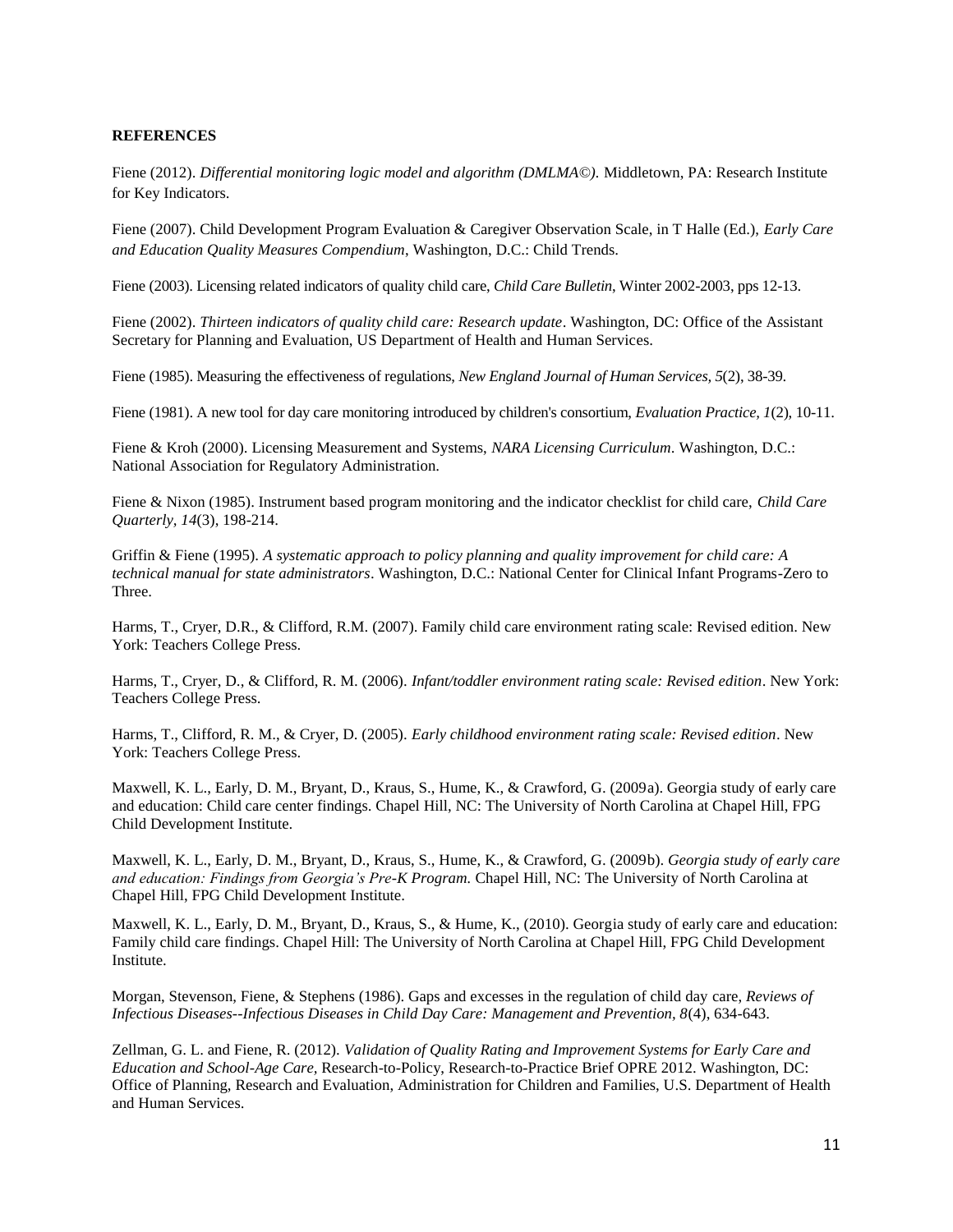#### **REFERENCES**

Fiene (2012). *Differential monitoring logic model and algorithm (DMLMA©).* Middletown, PA: Research Institute for Key Indicators.

Fiene (2007). Child Development Program Evaluation & Caregiver Observation Scale, in T Halle (Ed.), *Early Care and Education Quality Measures Compendium*, Washington, D.C.: Child Trends.

Fiene (2003). Licensing related indicators of quality child care, *Child Care Bulletin*, Winter 2002-2003, pps 12-13.

Fiene (2002). *Thirteen indicators of quality child care: Research update*. Washington, DC: Office of the Assistant Secretary for Planning and Evaluation, US Department of Health and Human Services.

Fiene (1985). Measuring the effectiveness of regulations, *New England Journal of Human Services, 5*(2), 38-39.

Fiene (1981). A new tool for day care monitoring introduced by children's consortium, *Evaluation Practice, 1*(2), 10-11.

Fiene & Kroh (2000). Licensing Measurement and Systems, *NARA Licensing Curriculum*. Washington, D.C.: National Association for Regulatory Administration.

Fiene & Nixon (1985). Instrument based program monitoring and the indicator checklist for child care, *Child Care Quarterly, 14*(3), 198-214.

Griffin & Fiene (1995). *A systematic approach to policy planning and quality improvement for child care: A technical manual for state administrators*. Washington, D.C.: National Center for Clinical Infant Programs-Zero to Three.

Harms, T., Cryer, D.R., & Clifford, R.M. (2007). Family child care environment rating scale: Revised edition. New York: Teachers College Press.

Harms, T., Cryer, D., & Clifford, R. M. (2006). *Infant/toddler environment rating scale: Revised edition*. New York: Teachers College Press.

Harms, T., Clifford, R. M., & Cryer, D. (2005). *Early childhood environment rating scale: Revised edition*. New York: Teachers College Press.

Maxwell, K. L., Early, D. M., Bryant, D., Kraus, S., Hume, K., & Crawford, G. (2009a). Georgia study of early care and education: Child care center findings. Chapel Hill, NC: The University of North Carolina at Chapel Hill, FPG Child Development Institute.

Maxwell, K. L., Early, D. M., Bryant, D., Kraus, S., Hume, K., & Crawford, G. (2009b). *Georgia study of early care and education: Findings from Georgia's Pre-K Program.* Chapel Hill, NC: The University of North Carolina at Chapel Hill, FPG Child Development Institute.

Maxwell, K. L., Early, D. M., Bryant, D., Kraus, S., & Hume, K., (2010). Georgia study of early care and education: Family child care findings. Chapel Hill: The University of North Carolina at Chapel Hill, FPG Child Development Institute.

Morgan, Stevenson, Fiene, & Stephens (1986). Gaps and excesses in the regulation of child day care, *Reviews of Infectious Diseases--Infectious Diseases in Child Day Care: Management and Prevention, 8*(4), 634-643.

Zellman, G. L. and Fiene, R. (2012). *Validation of Quality Rating and Improvement Systems for Early Care and Education and School-Age Care,* Research-to-Policy, Research-to-Practice Brief OPRE 2012. Washington, DC: Office of Planning, Research and Evaluation, Administration for Children and Families, U.S. Department of Health and Human Services.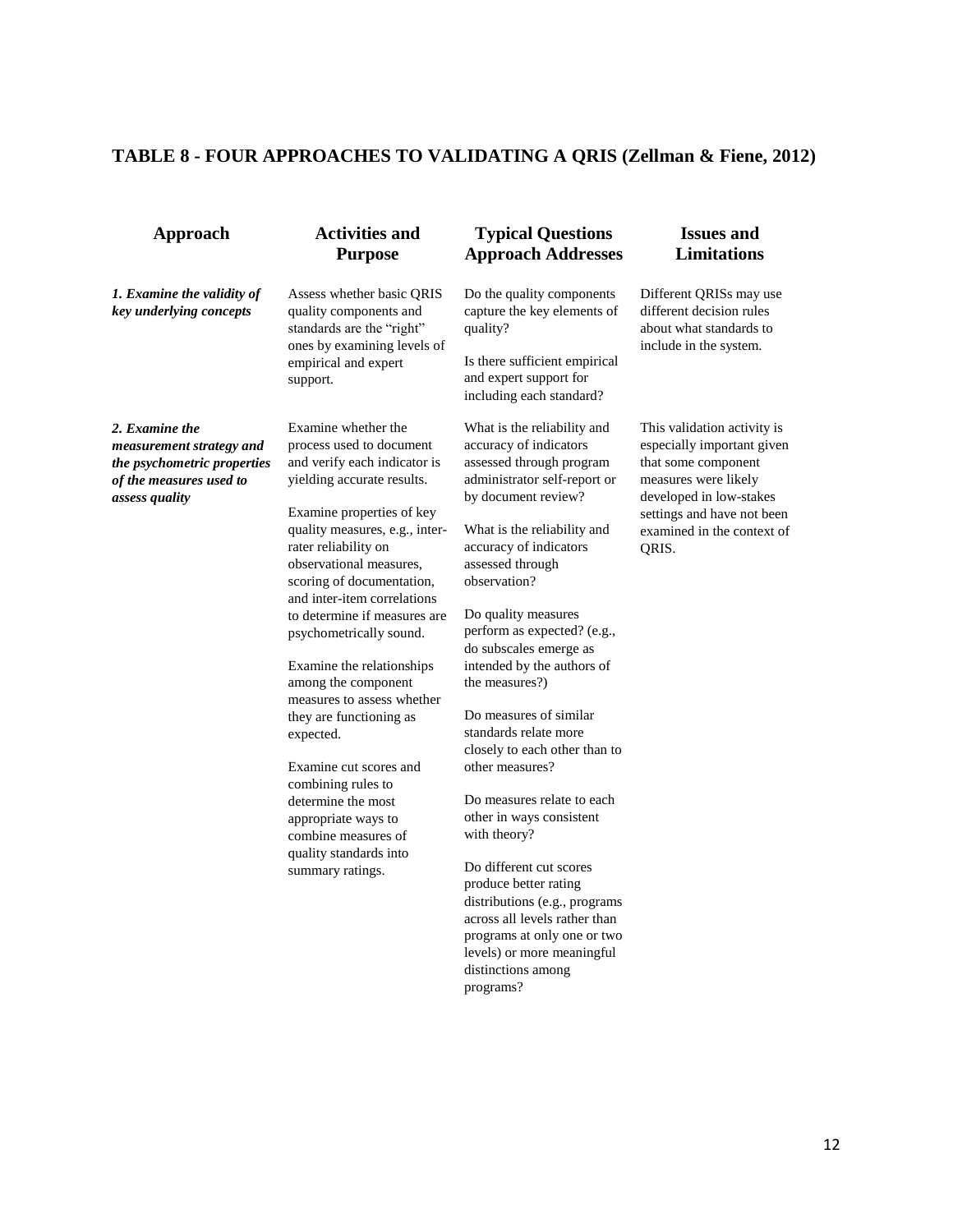# **TABLE 8 - FOUR APPROACHES TO VALIDATING A QRIS (Zellman & Fiene, 2012)**

| Approach                                                                                                                      | <b>Activities and</b><br><b>Purpose</b>                                                                                                       | <b>Typical Questions</b><br><b>Approach Addresses</b>                                                                                    | <b>Issues and</b><br><b>Limitations</b>                                                                                                                           |
|-------------------------------------------------------------------------------------------------------------------------------|-----------------------------------------------------------------------------------------------------------------------------------------------|------------------------------------------------------------------------------------------------------------------------------------------|-------------------------------------------------------------------------------------------------------------------------------------------------------------------|
| 1. Examine the validity of<br>key underlying concepts                                                                         | Assess whether basic QRIS<br>quality components and<br>standards are the "right"                                                              | Do the quality components<br>capture the key elements of<br>quality?                                                                     | Different QRISs may use<br>different decision rules<br>about what standards to                                                                                    |
|                                                                                                                               | ones by examining levels of<br>empirical and expert<br>support.                                                                               | Is there sufficient empirical<br>and expert support for<br>including each standard?                                                      | include in the system.                                                                                                                                            |
| 2. Examine the<br>measurement strategy and<br>the psychometric properties<br>of the measures used to<br><i>assess quality</i> | Examine whether the<br>process used to document<br>and verify each indicator is<br>yielding accurate results.<br>Examine properties of key    | What is the reliability and<br>accuracy of indicators<br>assessed through program<br>administrator self-report or<br>by document review? | This validation activity is<br>especially important given<br>that some component<br>measures were likely<br>developed in low-stakes<br>settings and have not been |
|                                                                                                                               | quality measures, e.g., inter-<br>rater reliability on<br>observational measures,<br>scoring of documentation,<br>and inter-item correlations | What is the reliability and<br>accuracy of indicators<br>assessed through<br>observation?                                                | examined in the context of<br>QRIS.                                                                                                                               |
|                                                                                                                               | to determine if measures are<br>psychometrically sound.                                                                                       | Do quality measures<br>perform as expected? (e.g.,<br>do subscales emerge as                                                             |                                                                                                                                                                   |
|                                                                                                                               | Examine the relationships<br>among the component<br>measures to assess whether                                                                | intended by the authors of<br>the measures?)                                                                                             |                                                                                                                                                                   |
|                                                                                                                               | they are functioning as<br>expected.                                                                                                          | Do measures of similar<br>standards relate more<br>closely to each other than to                                                         |                                                                                                                                                                   |
|                                                                                                                               | Examine cut scores and<br>combining rules to                                                                                                  | other measures?                                                                                                                          |                                                                                                                                                                   |
|                                                                                                                               | determine the most<br>appropriate ways to<br>combine measures of<br>quality standards into                                                    | Do measures relate to each<br>other in ways consistent<br>with theory?                                                                   |                                                                                                                                                                   |
|                                                                                                                               | summary ratings.                                                                                                                              | Do different cut scores<br>produce better rating<br>distributions (e.g., programs                                                        |                                                                                                                                                                   |
|                                                                                                                               |                                                                                                                                               | across all levels rather than                                                                                                            |                                                                                                                                                                   |
|                                                                                                                               |                                                                                                                                               | programs at only one or two                                                                                                              |                                                                                                                                                                   |
|                                                                                                                               |                                                                                                                                               | levels) or more meaningful<br>distinctions among                                                                                         |                                                                                                                                                                   |

programs?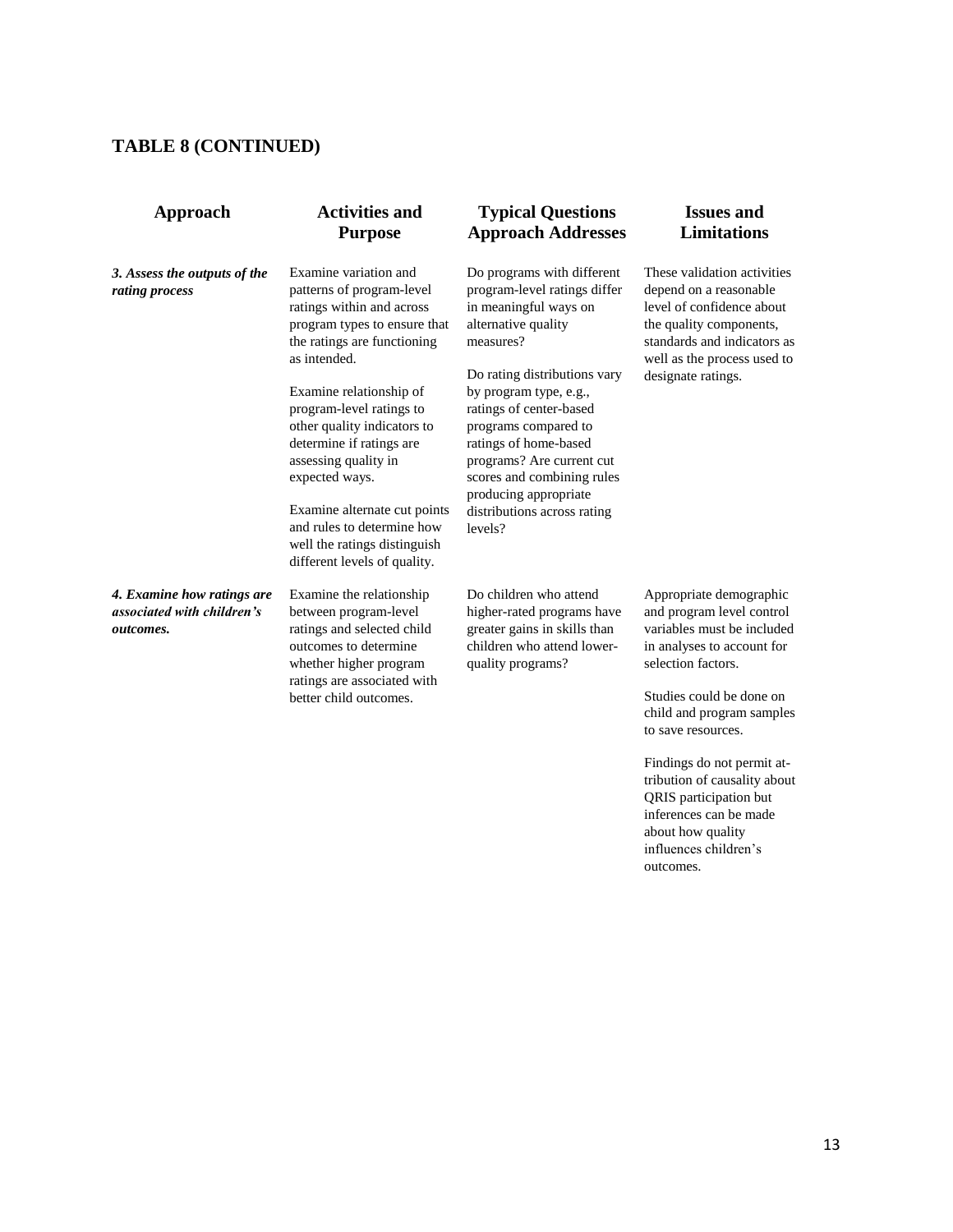## **TABLE 8 (CONTINUED)**

| Approach                                                              | <b>Activities and</b><br><b>Purpose</b>                                                                                                                                                                                                                                                | <b>Typical Questions</b><br><b>Approach Addresses</b>                                                                                                                                                                                                            |
|-----------------------------------------------------------------------|----------------------------------------------------------------------------------------------------------------------------------------------------------------------------------------------------------------------------------------------------------------------------------------|------------------------------------------------------------------------------------------------------------------------------------------------------------------------------------------------------------------------------------------------------------------|
| 3. Assess the outputs of the<br>rating process                        | Examine variation and<br>patterns of program-level<br>ratings within and across<br>program types to ensure that<br>the ratings are functioning<br>as intended.                                                                                                                         | Do programs with different<br>program-level ratings differ<br>in meaningful ways on<br>alternative quality<br>measures?                                                                                                                                          |
|                                                                       | Examine relationship of<br>program-level ratings to<br>other quality indicators to<br>determine if ratings are<br>assessing quality in<br>expected ways.<br>Examine alternate cut points<br>and rules to determine how<br>well the ratings distinguish<br>different levels of quality. | Do rating distributions vary<br>by program type, e.g.,<br>ratings of center-based<br>programs compared to<br>ratings of home-based<br>programs? Are current cut<br>scores and combining rules<br>producing appropriate<br>distributions across rating<br>levels? |
| 4. Examine how ratings are<br>associated with children's<br>outcomes. | Examine the relationship<br>between program-level<br>ratings and selected child<br>outcomes to determine<br>whether higher program<br>ratings are associated with<br>better child outcomes.                                                                                            | Do children who attend<br>higher-rated programs have<br>greater gains in skills than<br>children who attend lower-<br>quality programs?                                                                                                                          |

## **Issues and Limitations**

These validation activities depend on a reasonable level of confidence about the quality components, standards and indicators as well as the process used to designate ratings.

Appropriate demographic and program level control variables must be included in analyses to account for selection factors.

Studies could be done on child and program samples to save resources.

Findings do not permit attribution of causality about QRIS participation but inferences can be made about how quality influences children's outcomes.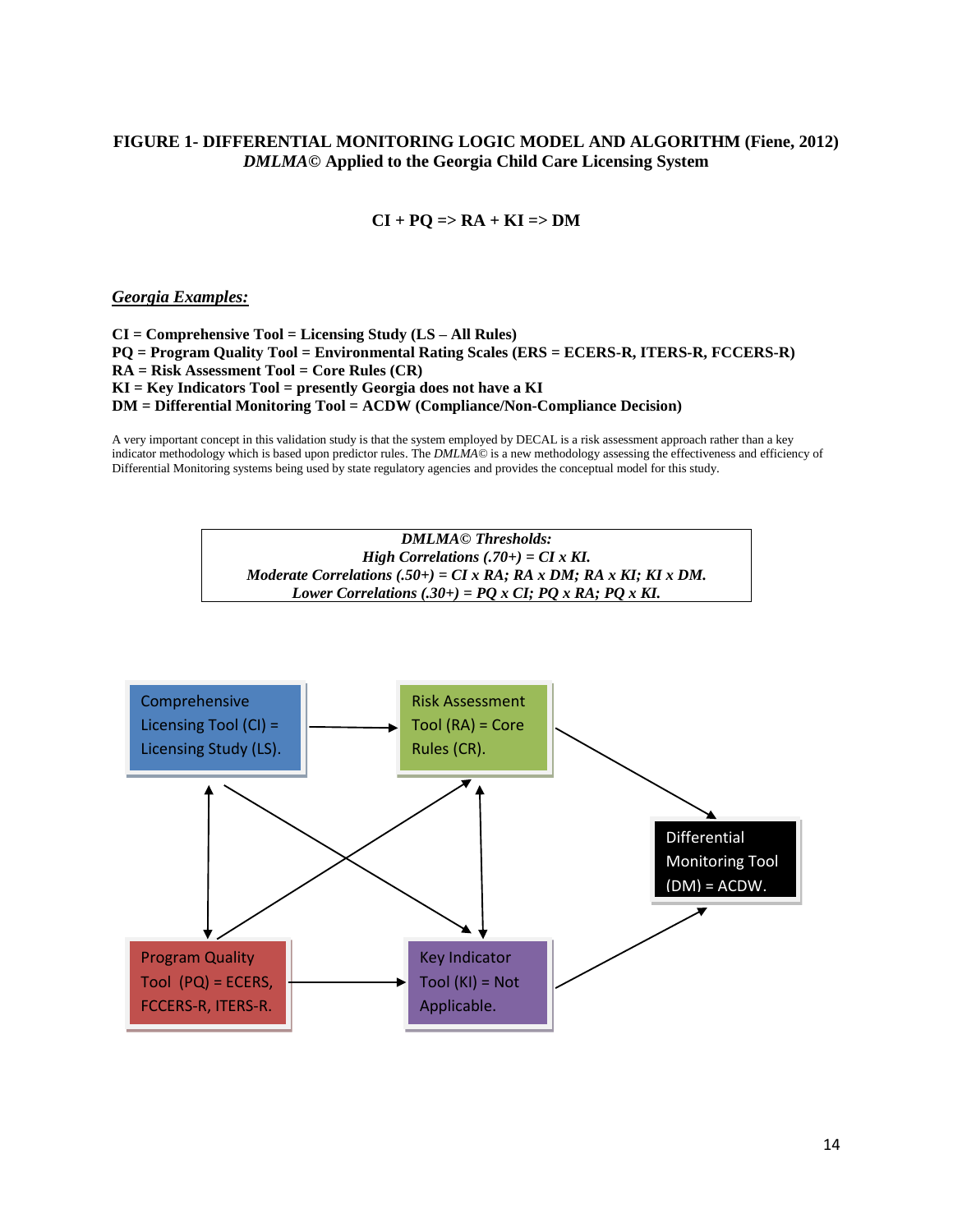## **FIGURE 1- DIFFERENTIAL MONITORING LOGIC MODEL AND ALGORITHM (Fiene, 2012)** *DMLMA©* **Applied to the Georgia Child Care Licensing System**

#### $CI + PO \Rightarrow RA + KI \Rightarrow DM$

*Georgia Examples:*

**CI = Comprehensive Tool = Licensing Study (LS – All Rules) PQ = Program Quality Tool = Environmental Rating Scales (ERS = ECERS-R, ITERS-R, FCCERS-R) RA = Risk Assessment Tool = Core Rules (CR) KI = Key Indicators Tool = presently Georgia does not have a KI DM = Differential Monitoring Tool = ACDW (Compliance/Non-Compliance Decision)**

A very important concept in this validation study is that the system employed by DECAL is a risk assessment approach rather than a key indicator methodology which is based upon predictor rules. The *DMLMA©* is a new methodology assessing the effectiveness and efficiency of Differential Monitoring systems being used by state regulatory agencies and provides the conceptual model for this study.



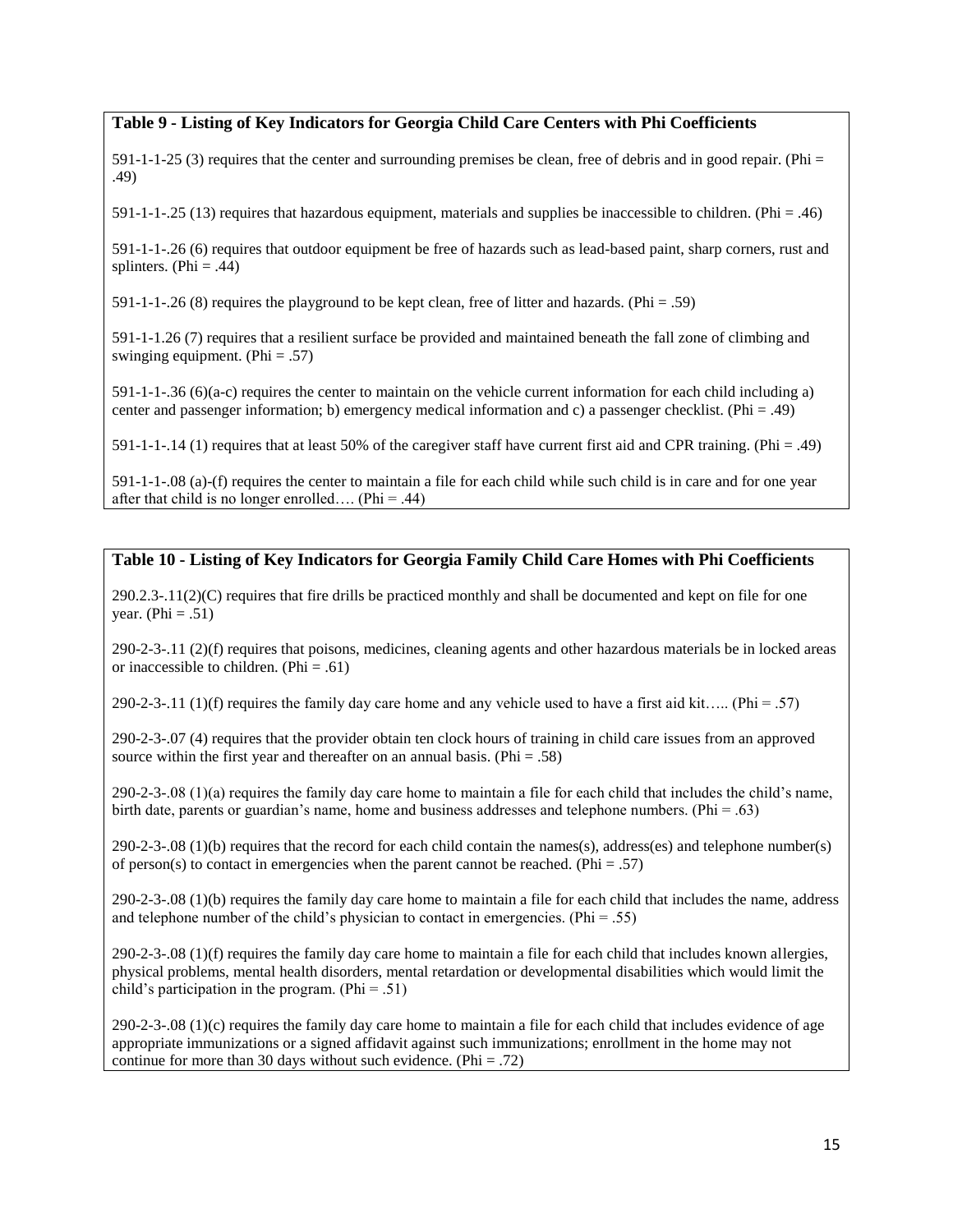### **Table 9 - Listing of Key Indicators for Georgia Child Care Centers with Phi Coefficients**

 $591-1-1-25$  (3) requires that the center and surrounding premises be clean, free of debris and in good repair. (Phi = .49)

591-1-1-.25 (13) requires that hazardous equipment, materials and supplies be inaccessible to children. (Phi = .46)

591-1-1-.26 (6) requires that outdoor equipment be free of hazards such as lead-based paint, sharp corners, rust and splinters. (Phi = .44)

591-1-1-.26 (8) requires the playground to be kept clean, free of litter and hazards. (Phi = .59)

591-1-1.26 (7) requires that a resilient surface be provided and maintained beneath the fall zone of climbing and swinging equipment. (Phi  $= .57$ )

591-1-1-.36 (6)(a-c) requires the center to maintain on the vehicle current information for each child including a) center and passenger information; b) emergency medical information and c) a passenger checklist. (Phi = .49)

591-1-1-.14 (1) requires that at least 50% of the caregiver staff have current first aid and CPR training. (Phi = .49)

591-1-1-.08 (a)-(f) requires the center to maintain a file for each child while such child is in care and for one year after that child is no longer enrolled.... (Phi = .44)

### **Table 10 - Listing of Key Indicators for Georgia Family Child Care Homes with Phi Coefficients**

290.2.3-.11(2)(C) requires that fire drills be practiced monthly and shall be documented and kept on file for one year. (Phi =  $.51$ )

290-2-3-.11 (2)(f) requires that poisons, medicines, cleaning agents and other hazardous materials be in locked areas or inaccessible to children. (Phi = .61)

290-2-3-.11 (1)(f) requires the family day care home and any vehicle used to have a first aid kit….. (Phi = .57)

290-2-3-.07 (4) requires that the provider obtain ten clock hours of training in child care issues from an approved source within the first year and thereafter on an annual basis. (Phi = .58)

290-2-3-.08 (1)(a) requires the family day care home to maintain a file for each child that includes the child's name, birth date, parents or guardian's name, home and business addresses and telephone numbers. (Phi = .63)

290-2-3-.08 (1)(b) requires that the record for each child contain the names(s), address(es) and telephone number(s) of person(s) to contact in emergencies when the parent cannot be reached. (Phi = .57)

290-2-3-.08 (1)(b) requires the family day care home to maintain a file for each child that includes the name, address and telephone number of the child's physician to contact in emergencies. (Phi = .55)

290-2-3-.08 (1)(f) requires the family day care home to maintain a file for each child that includes known allergies, physical problems, mental health disorders, mental retardation or developmental disabilities which would limit the child's participation in the program. (Phi = .51)

290-2-3-.08 (1)(c) requires the family day care home to maintain a file for each child that includes evidence of age appropriate immunizations or a signed affidavit against such immunizations; enrollment in the home may not continue for more than 30 days without such evidence. (Phi  $= .72$ )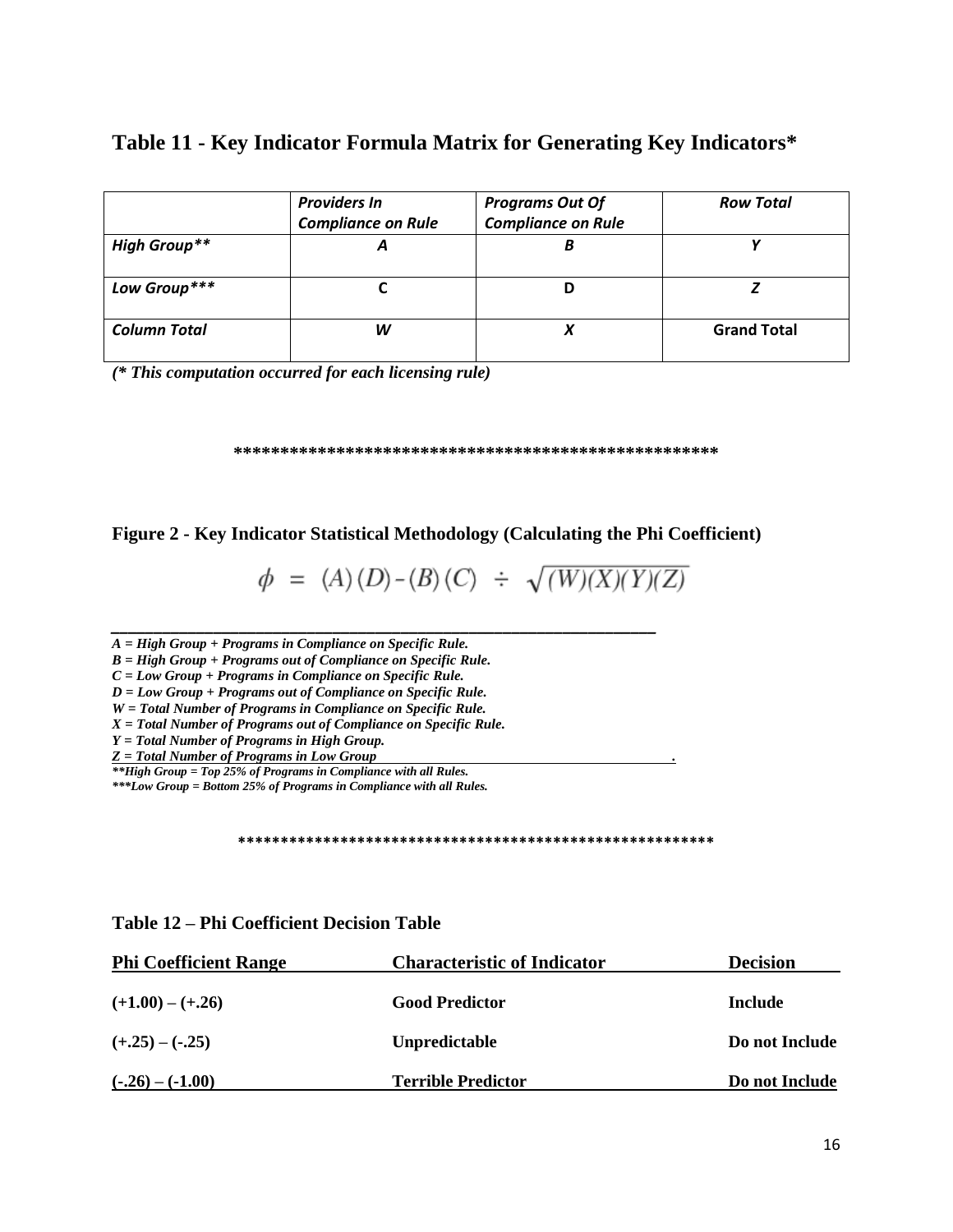## **Table 11 - Key Indicator Formula Matrix for Generating Key Indicators\***

|                     | <b>Providers In</b>       | <b>Programs Out Of</b>    | <b>Row Total</b>   |
|---------------------|---------------------------|---------------------------|--------------------|
|                     | <b>Compliance on Rule</b> | <b>Compliance on Rule</b> |                    |
| <b>High Group**</b> |                           |                           |                    |
| Low Group***        |                           |                           |                    |
| <b>Column Total</b> | w                         |                           | <b>Grand Total</b> |

*(\* This computation occurred for each licensing rule)*

#### **\*\*\*\*\*\*\*\*\*\*\*\*\*\*\*\*\*\*\*\*\*\*\*\*\*\*\*\*\*\*\*\*\*\*\*\*\*\*\*\*\*\*\*\*\*\*\*\*\*\*\*\***

## **Figure 2 - Key Indicator Statistical Methodology (Calculating the Phi Coefficient)**

$$
\phi = (A) (D) - (B) (C) \div \sqrt{(W)(X)(Y)(Z)}
$$

*\_\_\_\_\_\_\_\_\_\_\_\_\_\_\_\_\_\_\_\_\_\_\_\_\_\_\_\_\_\_\_\_\_\_\_\_\_\_\_\_\_\_\_\_\_\_\_\_\_\_\_\_\_\_\_\_\_\_\_\_\_\_\_\_ A = High Group + Programs in Compliance on Specific Rule.*

*B = High Group + Programs out of Compliance on Specific Rule.*

*C = Low Group + Programs in Compliance on Specific Rule.*

*D = Low Group + Programs out of Compliance on Specific Rule.*

*W = Total Number of Programs in Compliance on Specific Rule.*

*X = Total Number of Programs out of Compliance on Specific Rule.*

*Y = Total Number of Programs in High Group.*

*Z = Total Number of Programs in Low Group .*

*\*\*High Group = Top 25% of Programs in Compliance with all Rules. \*\*\*Low Group = Bottom 25% of Programs in Compliance with all Rules.*

#### **\*\*\*\*\*\*\*\*\*\*\*\*\*\*\*\*\*\*\*\*\*\*\*\*\*\*\*\*\*\*\*\*\*\*\*\*\*\*\*\*\*\*\*\*\*\*\*\*\*\*\*\*\*\*\*\***

| <b>Phi Coefficient Range</b> | <b>Characteristic of Indicator</b> | <b>Decision</b> |
|------------------------------|------------------------------------|-----------------|
| $(+1.00) - (+.26)$           | <b>Good Predictor</b>              | Include         |
| $(+.25) - (-.25)$            | Unpredictable                      | Do not Include  |
| $(-.26) - (-1.00)$           | <b>Terrible Predictor</b>          | Do not Include  |

## **Table 12 – Phi Coefficient Decision Table**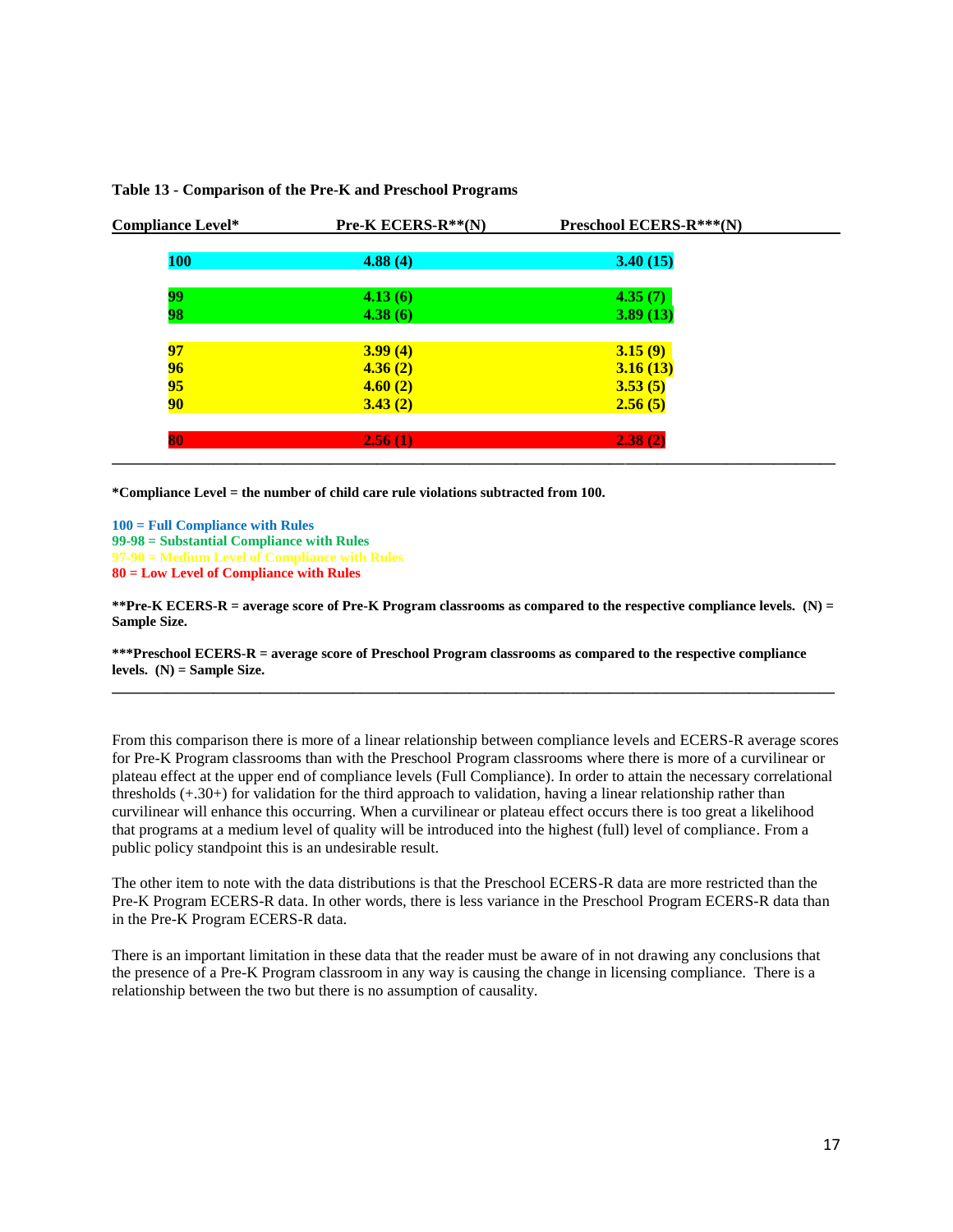| <b>Compliance Level*</b> | <b>Pre-K ECERS-R**(N)</b> | Preschool ECERS-R***(N) |  |
|--------------------------|---------------------------|-------------------------|--|
| <b>100</b>               | 4.88(4)                   | 3.40(15)                |  |
| 99                       | 4.13(6)                   | 4.35(7)                 |  |
| 98                       | 4.38(6)                   | 3.89(13)                |  |
| 97                       | 3.99(4)                   | 3.15(9)                 |  |
|                          | 4.36(2)                   | 3.16(13)                |  |
| $\frac{96}{95}$          | 4.60(2)                   | 3.53(5)                 |  |
| 90                       | 3.43(2)                   | 2.56(5)                 |  |
| 80                       | 2.56(1)                   | 2.38(2)                 |  |
|                          |                           |                         |  |

#### **Table 13 - Comparison of the Pre-K and Preschool Programs**

**\*Compliance Level = the number of child care rule violations subtracted from 100.**

**100 = Full Compliance with Rules 99-98 = Substantial Compliance with Rules 97-90 = Medium Level of Compliance with Rules 80 = Low Level of Compliance with Rules**

**\*\*Pre-K ECERS-R = average score of Pre-K Program classrooms as compared to the respective compliance levels. (N) = Sample Size.**

**\_\_\_\_\_\_\_\_\_\_\_\_\_\_\_\_\_\_\_\_\_\_\_\_\_\_\_\_\_\_\_\_\_\_\_\_\_\_\_\_\_\_\_\_\_\_\_\_\_\_\_\_\_\_\_\_\_\_\_\_\_\_\_\_\_\_\_\_\_\_\_\_\_\_\_\_\_\_\_\_\_\_\_\_\_\_\_\_\_\_\_\_\_**

**\*\*\*Preschool ECERS-R = average score of Preschool Program classrooms as compared to the respective compliance levels. (N) = Sample Size.**

From this comparison there is more of a linear relationship between compliance levels and ECERS-R average scores for Pre-K Program classrooms than with the Preschool Program classrooms where there is more of a curvilinear or plateau effect at the upper end of compliance levels (Full Compliance). In order to attain the necessary correlational thresholds (+.30+) for validation for the third approach to validation, having a linear relationship rather than curvilinear will enhance this occurring. When a curvilinear or plateau effect occurs there is too great a likelihood that programs at a medium level of quality will be introduced into the highest (full) level of compliance. From a public policy standpoint this is an undesirable result.

The other item to note with the data distributions is that the Preschool ECERS-R data are more restricted than the Pre-K Program ECERS-R data. In other words, there is less variance in the Preschool Program ECERS-R data than in the Pre-K Program ECERS-R data.

There is an important limitation in these data that the reader must be aware of in not drawing any conclusions that the presence of a Pre-K Program classroom in any way is causing the change in licensing compliance. There is a relationship between the two but there is no assumption of causality.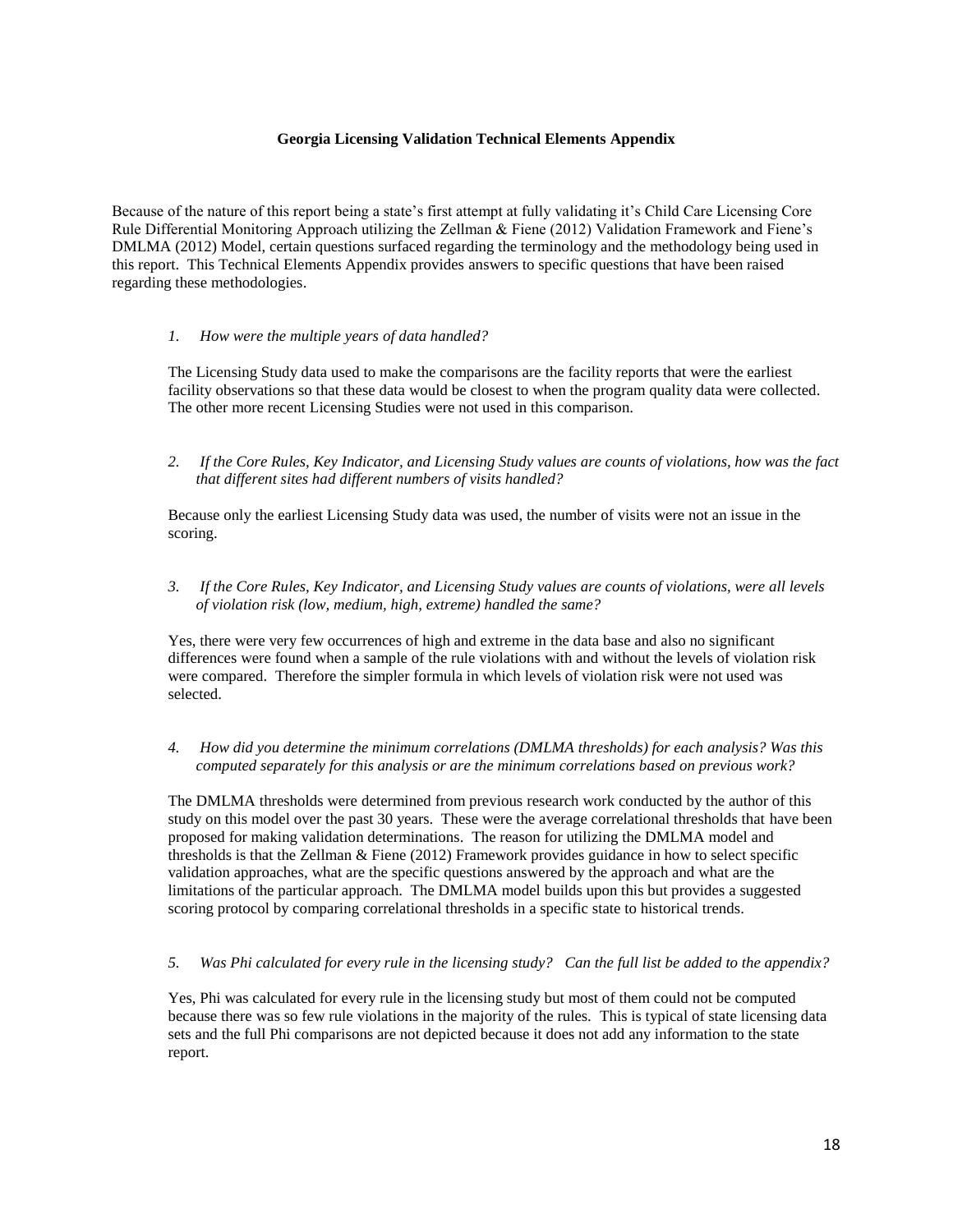#### **Georgia Licensing Validation Technical Elements Appendix**

Because of the nature of this report being a state's first attempt at fully validating it's Child Care Licensing Core Rule Differential Monitoring Approach utilizing the Zellman & Fiene (2012) Validation Framework and Fiene's DMLMA (2012) Model, certain questions surfaced regarding the terminology and the methodology being used in this report. This Technical Elements Appendix provides answers to specific questions that have been raised regarding these methodologies.

#### *1. How were the multiple years of data handled?*

The Licensing Study data used to make the comparisons are the facility reports that were the earliest facility observations so that these data would be closest to when the program quality data were collected. The other more recent Licensing Studies were not used in this comparison.

*2. If the Core Rules, Key Indicator, and Licensing Study values are counts of violations, how was the fact that different sites had different numbers of visits handled?*

Because only the earliest Licensing Study data was used, the number of visits were not an issue in the scoring.

*3. If the Core Rules, Key Indicator, and Licensing Study values are counts of violations, were all levels of violation risk (low, medium, high, extreme) handled the same?*

Yes, there were very few occurrences of high and extreme in the data base and also no significant differences were found when a sample of the rule violations with and without the levels of violation risk were compared. Therefore the simpler formula in which levels of violation risk were not used was selected.

#### *4. How did you determine the minimum correlations (DMLMA thresholds) for each analysis? Was this computed separately for this analysis or are the minimum correlations based on previous work?*

The DMLMA thresholds were determined from previous research work conducted by the author of this study on this model over the past 30 years. These were the average correlational thresholds that have been proposed for making validation determinations. The reason for utilizing the DMLMA model and thresholds is that the Zellman & Fiene (2012) Framework provides guidance in how to select specific validation approaches, what are the specific questions answered by the approach and what are the limitations of the particular approach. The DMLMA model builds upon this but provides a suggested scoring protocol by comparing correlational thresholds in a specific state to historical trends.

#### *5. Was Phi calculated for every rule in the licensing study? Can the full list be added to the appendix?*

Yes, Phi was calculated for every rule in the licensing study but most of them could not be computed because there was so few rule violations in the majority of the rules. This is typical of state licensing data sets and the full Phi comparisons are not depicted because it does not add any information to the state report.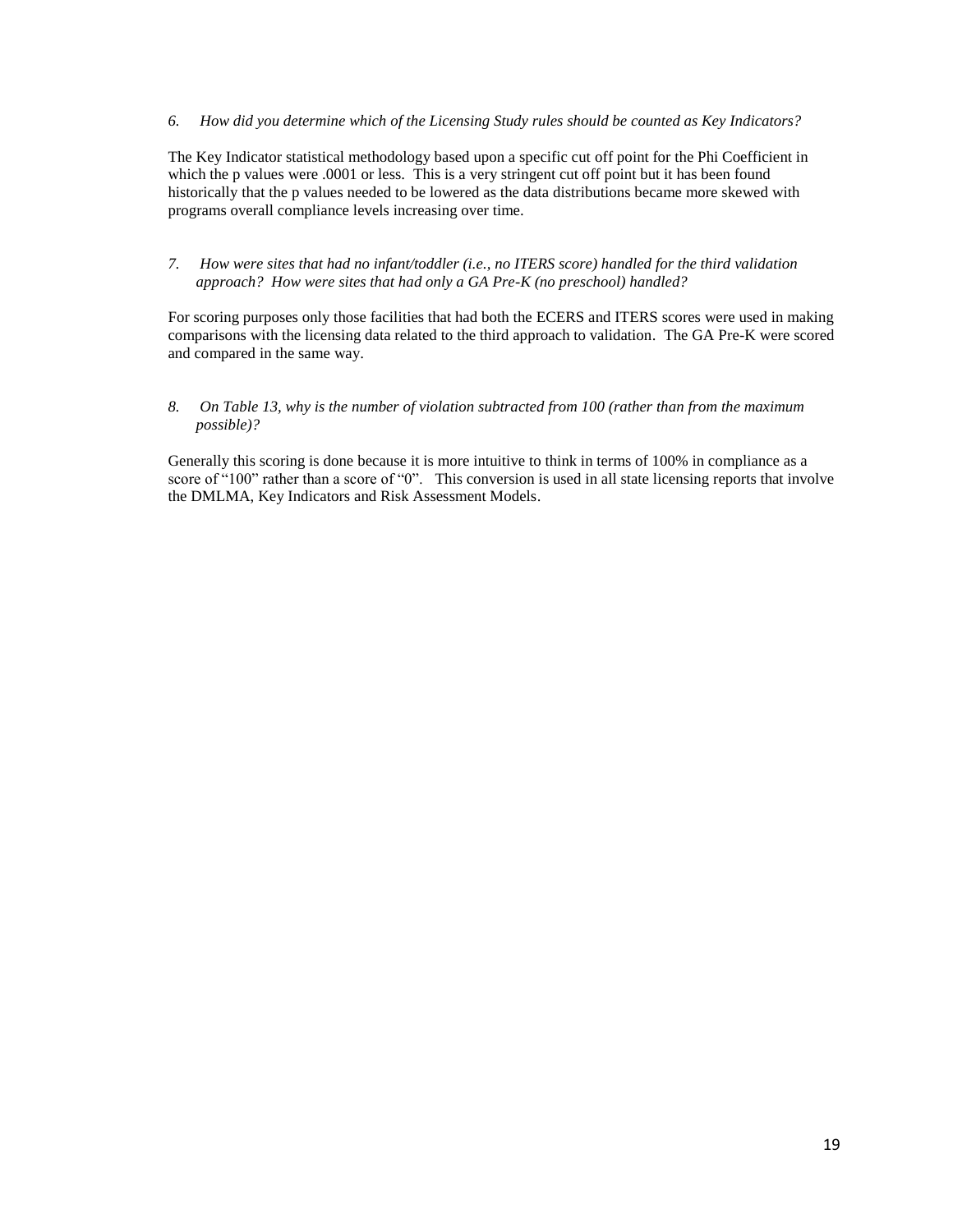*6. How did you determine which of the Licensing Study rules should be counted as Key Indicators?*

The Key Indicator statistical methodology based upon a specific cut off point for the Phi Coefficient in which the p values were .0001 or less. This is a very stringent cut off point but it has been found historically that the p values needed to be lowered as the data distributions became more skewed with programs overall compliance levels increasing over time.

*7. How were sites that had no infant/toddler (i.e., no ITERS score) handled for the third validation approach? How were sites that had only a GA Pre-K (no preschool) handled?*

For scoring purposes only those facilities that had both the ECERS and ITERS scores were used in making comparisons with the licensing data related to the third approach to validation. The GA Pre-K were scored and compared in the same way.

*8. On Table 13, why is the number of violation subtracted from 100 (rather than from the maximum possible)?*

Generally this scoring is done because it is more intuitive to think in terms of 100% in compliance as a score of "100" rather than a score of "0". This conversion is used in all state licensing reports that involve the DMLMA, Key Indicators and Risk Assessment Models.